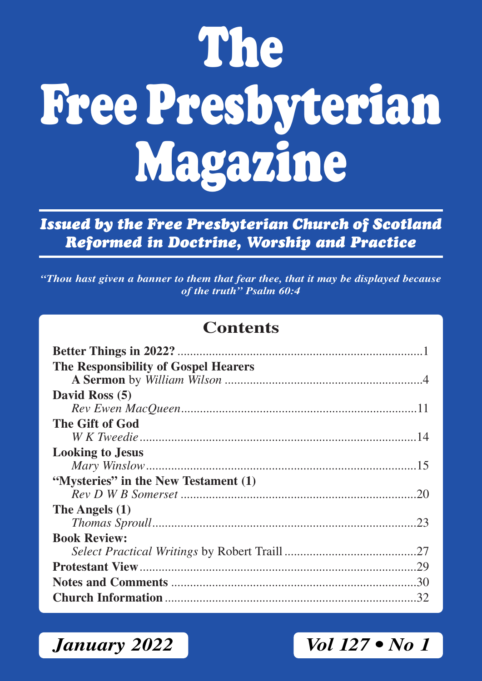# **The Free Presbyterian Magazine**

*Issued by the Free Presbyterian Church of Scotland Reformed in Doctrine, Worship and Practice*

*"Thou hast given a banner to them that fear thee, that it may be displayed because of the truth" Psalm 60:4*

### **Contents**

| The Responsibility of Gospel Hearers |  |
|--------------------------------------|--|
|                                      |  |
| David Ross (5)                       |  |
|                                      |  |
| The Gift of God                      |  |
|                                      |  |
| <b>Looking to Jesus</b>              |  |
|                                      |  |
| "Mysteries" in the New Testament (1) |  |
|                                      |  |
| The Angels (1)                       |  |
|                                      |  |
| <b>Book Review:</b>                  |  |
|                                      |  |
|                                      |  |
|                                      |  |
|                                      |  |

*January 2022 Vol 127 • No 1*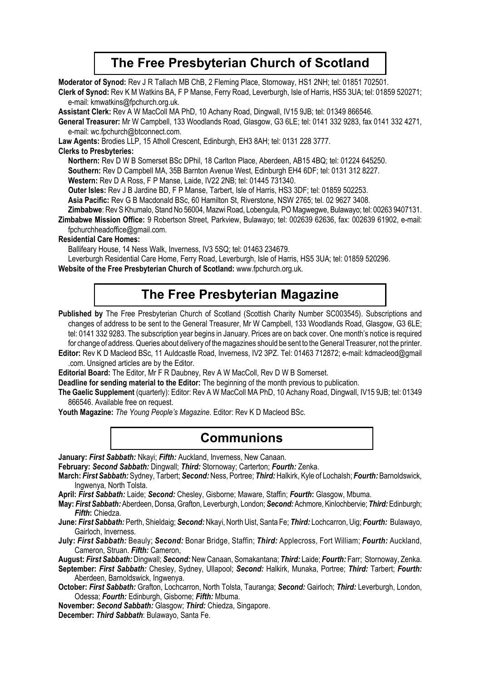### **The Free Presbyterian Church of Scotland**

**Moderator of Synod:** Rev J R Tallach MB ChB, 2 Fleming Place, Stornoway, HS1 2NH; tel: 01851 702501.

**Clerk of Synod:** Rev K M Watkins BA, F P Manse, Ferry Road, Leverburgh, Isle of Harris, HS5 3UA; tel: 01859 520271; e-mail: kmwatkins@fpchurch.org.uk.

**Assistant Clerk:** Rev A W MacColl MA PhD, 10 Achany Road, Dingwall, IV15 9JB; tel: 01349 866546.

**General Treasurer:** Mr W Campbell, 133 Woodlands Road, Glasgow, G3 6LE; tel: 0141 332 9283, fax 0141 332 4271, e-mail: wc.fpchurch@btconnect.com.

**Law Agents:** Brodies LLP, 15 Atholl Crescent, Edinburgh, EH3 8AH; tel: 0131 228 3777.

### **Clerks to Presbyteries:**

**Northern:** Rev D W B Somerset BSc DPhil, 18 Carlton Place, Aberdeen, AB15 4BQ; tel: 01224 645250.

**Southern:** Rev D Campbell MA, 35B Barnton Avenue West, Edinburgh EH4 6DF; tel: 0131 312 8227.

**Western:** Rev D A Ross, F P Manse, Laide, IV22 2NB; tel: 01445 731340.

**Outer lsles:** Rev J B Jardine BD, F P Manse, Tarbert, Isle of Harris, HS3 3DF; tel: 01859 502253.

**Asia Pacific:** Rev G B Macdonald BSc, 60 Hamilton St, Riverstone, NSW 2765; tel. 02 9627 3408.

**Zimbabwe**: Rev S Khumalo, Stand No 56004, Mazwi Road, Lobengula, PO Magwegwe, Bulawayo; tel: 00263 9407131.

**Zimbabwe Mission Office:** 9 Robertson Street, Parkview, Bulawayo; tel: 002639 62636, fax: 002639 61902, e-mail: fpchurchheadoffice@gmail.com.

### **Residential Care Homes:**

Ballifeary House, 14 Ness Walk, Inverness, IV3 5SQ; tel: 01463 234679.

Leverburgh Residential Care Home, Ferry Road, Leverburgh, Isle of Harris, HS5 3UA; tel: 01859 520296.

**Website of the Free Presbyterian Church of Scotland:** www.fpchurch.org.uk.

### **The Free Presbyterian Magazine**

Published by The Free Presbyterian Church of Scotland (Scottish Charity Number SC003545). Subscriptions and changes of address to be sent to the General Treasurer, Mr W Campbell, 133 Woodlands Road, Glasgow, G3 6LE; tel: 0141 332 9283. The subscription year begins in January. Prices are on back cover. One month's notice is required for change of address. Queries about delivery of the magazines should be sent to the General Treasurer, not the printer.

**Editor:** Rev K D Macleod BSc, 11 Auldcastle Road, Inverness, IV2 3PZ. Tel: 01463 712872; e-mail: kdmacleod@gmail .com. Unsigned articles are by the Editor.

**Editorial Board:** The Editor, Mr F R Daubney, Rev A W MacColl, Rev D W B Somerset.

**Deadline for sending material to the Editor:** The beginning of the month previous to publication.

**The Gaelic Supplement** (quarterly): Editor: Rev A W MacColl MA PhD, 10 Achany Road, Dingwall, IV15 9JB; tel: 01349 866546. Available free on request.

**Youth Magazine:** *The Young People's Magazine*. Editor: Rev K D Macleod BSc.

### **Communions**

**January:** *First Sabbath:* Nkayi; *Fifth:* Auckland, Inverness, New Canaan.

**February:** *Second Sabbath:* Dingwall; *Third:* Stornoway; Carterton; *Fourth:* Zenka.

**March:** *First Sabbath:* Sydney, Tarbert; *Second:* Ness, Portree; *Third:* Halkirk, Kyle of Lochalsh; *Fourth:* Barnoldswick, Ingwenya, North Tolsta.

**April:** *First Sabbath:* Laide; *Second:* Chesley, Gisborne; Maware, Staffin; *Fourth***:** Glasgow, Mbuma.

**May:** *First Sabbath:* Aberdeen, Donsa, Grafton, Leverburgh, London; *Second:* Achmore, Kinlochbervie; *Third:* Edinburgh; *Fifth***:** Chiedza.

**June:** *First Sabbath:* Perth, Shieldaig; *Second:* Nkayi, North Uist, Santa Fe; *Third:* Lochcarron, Uig; *Fourth:* Bulawayo, Gairloch, Inverness.

**July:** *First Sabbath:* Beauly; *Second:* Bonar Bridge, Staffin; *Third:* Applecross, Fort William; *Fourth:* Auckland, Cameron, Struan. *Fifth:* Cameron,

**August:** *First Sabbath:* Dingwall; *Second:* New Canaan, Somakantana; *Third:* Laide; *Fourth:* Farr; Stornoway, Zenka.

**September:** *First Sabbath:* Chesley, Sydney, Ullapool; *Second:* Halkirk, Munaka, Portree; *Third:* Tarbert; *Fourth:* Aberdeen, Barnoldswick, Ingwenya.

**October:** *First Sabbath:* Grafton, Lochcarron, North Tolsta, Tauranga; *Second:* Gairloch; *Third:* Leverburgh, London, Odessa; *Fourth:* Edinburgh, Gisborne; *Fifth:* Mbuma.

**November:** *Second Sabbath:* Glasgow; *Third:* Chiedza, Singapore.

**December:** *Third Sabbath*: Bulawayo, Santa Fe.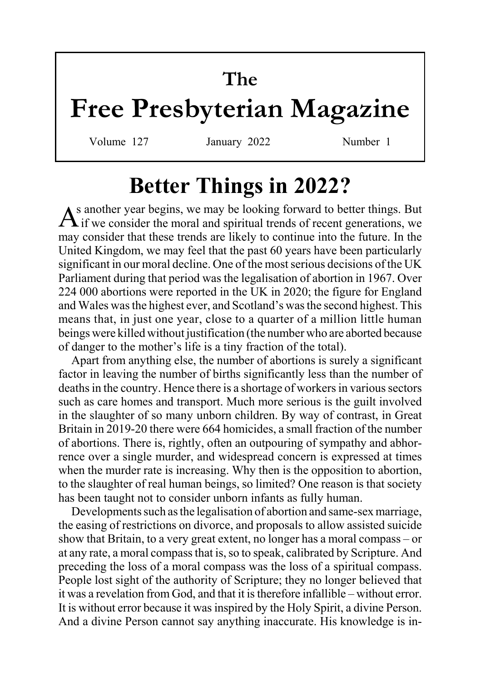### **The**

# **Free Presbyterian Magazine**

Volume 127 January 2022 Number 1

### **Better Things in 2022?**

 $A<sup>s</sup>$  another year begins, we may be looking forward to better things. But if we consider the moral and spiritual trends of recent generations, we may consider that these trends are likely to continue into the future. In the United Kingdom, we may feel that the past 60 years have been particularly significant in our moral decline. One of the most serious decisions of the UK Parliament during that period was the legalisation of abortion in 1967. Over 224 000 abortions were reported in the UK in 2020; the figure for England and Wales was the highest ever, and Scotland's was the second highest. This means that, in just one year, close to a quarter of a million little human beings were killed without justification (the number who are aborted because of danger to the mother's life is a tiny fraction of the total).

Apart from anything else, the number of abortions is surely a significant factor in leaving the number of births significantly less than the number of deaths in the country. Hence there is a shortage of workers in various sectors such as care homes and transport. Much more serious is the guilt involved in the slaughter of so many unborn children. By way of contrast, in Great Britain in 2019-20 there were 664 homicides, a small fraction of the number of abortions. There is, rightly, often an outpouring of sympathy and abhorrence over a single murder, and widespread concern is expressed at times when the murder rate is increasing. Why then is the opposition to abortion, to the slaughter of real human beings, so limited? One reason is that society has been taught not to consider unborn infants as fully human.

Developments such as the legalisation of abortion and same-sex marriage, the easing of restrictions on divorce, and proposals to allow assisted suicide show that Britain, to a very great extent, no longer has a moral compass – or at any rate, a moral compass that is, so to speak, calibrated by Scripture. And preceding the loss of a moral compass was the loss of a spiritual compass. People lost sight of the authority of Scripture; they no longer believed that it was a revelation from God, and that it is therefore infallible – without error. It is without error because it was inspired by the Holy Spirit, a divine Person. And a divine Person cannot say anything inaccurate. His knowledge is in-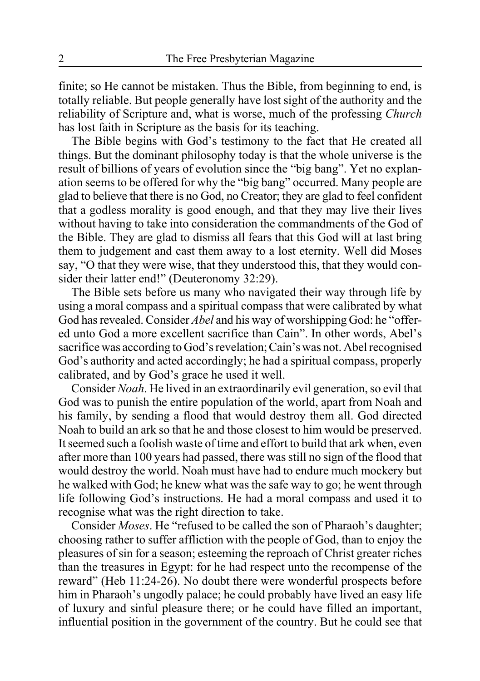finite; so He cannot be mistaken. Thus the Bible, from beginning to end, is totally reliable. But people generally have lost sight of the authority and the reliability of Scripture and, what is worse, much of the professing *Church* has lost faith in Scripture as the basis for its teaching.

The Bible begins with God's testimony to the fact that He created all things. But the dominant philosophy today is that the whole universe is the result of billions of years of evolution since the "big bang". Yet no explanation seems to be offered for why the "big bang" occurred. Many people are glad to believe that there is no God, no Creator; they are glad to feel confident that a godless morality is good enough, and that they may live their lives without having to take into consideration the commandments of the God of the Bible. They are glad to dismiss all fears that this God will at last bring them to judgement and cast them away to a lost eternity. Well did Moses say, "O that they were wise, that they understood this, that they would consider their latter end!" (Deuteronomy 32:29).

The Bible sets before us many who navigated their way through life by using a moral compass and a spiritual compass that were calibrated by what God has revealed. Consider *Abel* and his way of worshipping God: he "offered unto God a more excellent sacrifice than Cain". In other words, Abel's sacrifice was according to God's revelation; Cain's was not. Abel recognised God's authority and acted accordingly; he had a spiritual compass, properly calibrated, and by God's grace he used it well.

Consider *Noah*. He lived in an extraordinarily evil generation, so evil that God was to punish the entire population of the world, apart from Noah and his family, by sending a flood that would destroy them all. God directed Noah to build an ark so that he and those closest to him would be preserved. It seemed such a foolish waste of time and effort to build that ark when, even after more than 100 years had passed, there was still no sign of the flood that would destroy the world. Noah must have had to endure much mockery but he walked with God; he knew what was the safe way to go; he went through life following God's instructions. He had a moral compass and used it to recognise what was the right direction to take.

Consider *Moses*. He "refused to be called the son of Pharaoh's daughter; choosing rather to suffer affliction with the people of God, than to enjoy the pleasures of sin for a season; esteeming the reproach of Christ greater riches than the treasures in Egypt: for he had respect unto the recompense of the reward" (Heb 11:24-26). No doubt there were wonderful prospects before him in Pharaoh's ungodly palace; he could probably have lived an easy life of luxury and sinful pleasure there; or he could have filled an important, influential position in the government of the country. But he could see that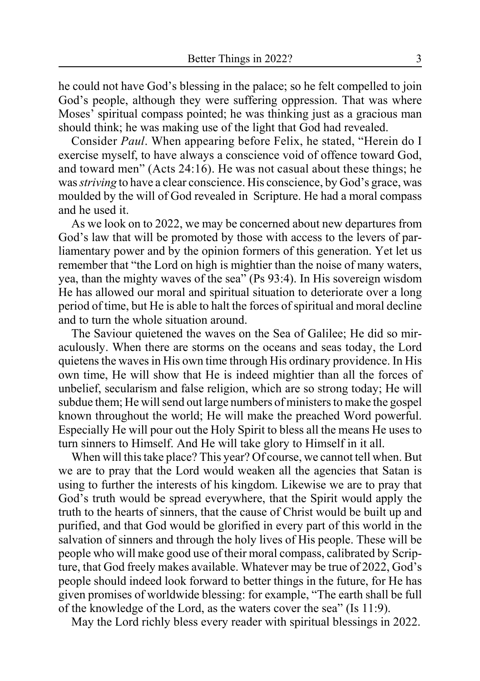he could not have God's blessing in the palace; so he felt compelled to join God's people, although they were suffering oppression. That was where Moses' spiritual compass pointed; he was thinking just as a gracious man should think; he was making use of the light that God had revealed.

Consider *Paul*. When appearing before Felix, he stated, "Herein do I exercise myself, to have always a conscience void of offence toward God, and toward men" (Acts 24:16). He was not casual about these things; he was *striving* to have a clear conscience. His conscience, by God's grace, was moulded by the will of God revealed in Scripture. He had a moral compass and he used it.

As we look on to 2022, we may be concerned about new departures from God's law that will be promoted by those with access to the levers of parliamentary power and by the opinion formers of this generation. Yet let us remember that "the Lord on high is mightier than the noise of many waters, yea, than the mighty waves of the sea" (Ps 93:4). In His sovereign wisdom He has allowed our moral and spiritual situation to deteriorate over a long period of time, but He is able to halt the forces of spiritual and moral decline and to turn the whole situation around.

The Saviour quietened the waves on the Sea of Galilee; He did so miraculously. When there are storms on the oceans and seas today, the Lord quietens the waves in His own time through His ordinary providence. In His own time, He will show that He is indeed mightier than all the forces of unbelief, secularism and false religion, which are so strong today; He will subdue them; He will send out large numbers of ministers to make the gospel known throughout the world; He will make the preached Word powerful. Especially He will pour out the Holy Spirit to bless all the means He uses to turn sinners to Himself. And He will take glory to Himself in it all.

When will this take place? This year? Of course, we cannot tell when. But we are to pray that the Lord would weaken all the agencies that Satan is using to further the interests of his kingdom. Likewise we are to pray that God's truth would be spread everywhere, that the Spirit would apply the truth to the hearts of sinners, that the cause of Christ would be built up and purified, and that God would be glorified in every part of this world in the salvation of sinners and through the holy lives of His people. These will be people who will make good use of their moral compass, calibrated by Scripture, that God freely makes available. Whatever may be true of 2022, God's people should indeed look forward to better things in the future, for He has given promises of worldwide blessing: for example, "The earth shall be full of the knowledge of the Lord, as the waters cover the sea" (Is 11:9).

May the Lord richly bless every reader with spiritual blessings in 2022.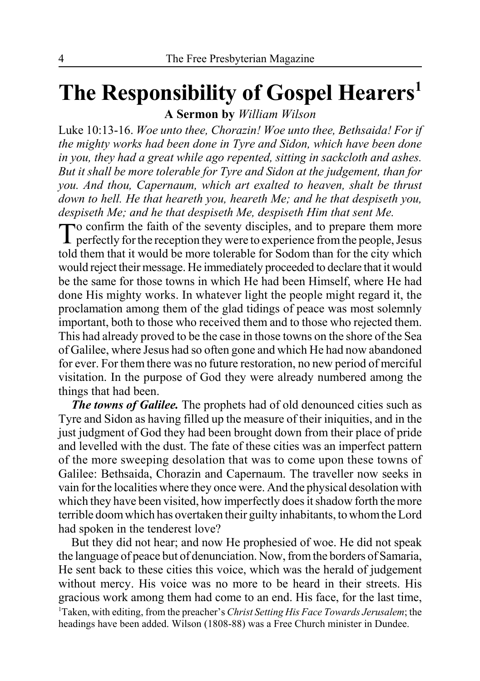# **The Responsibility of Gospel Hearers1**

**A Sermon by** *William Wilson*

Luke 10:13-16. *Woe unto thee, Chorazin! Woe unto thee, Bethsaida! For if the mighty works had been done in Tyre and Sidon, which have been done in you, they had a great while ago repented, sitting in sackcloth and ashes. But it shall be more tolerable for Tyre and Sidon at the judgement, than for you. And thou, Capernaum, which art exalted to heaven, shalt be thrust down to hell. He that heareth you, heareth Me; and he that despiseth you, despiseth Me; and he that despiseth Me, despiseth Him that sent Me.*

To confirm the faith of the seventy disciples, and to prepare them more perfectly for the reception they were to experience from the people, Jesus told them that it would be more tolerable for Sodom than for the city which would reject their message. He immediately proceeded to declare that it would be the same for those towns in which He had been Himself, where He had done His mighty works. In whatever light the people might regard it, the proclamation among them of the glad tidings of peace was most solemnly important, both to those who received them and to those who rejected them. This had already proved to be the case in those towns on the shore of the Sea of Galilee, where Jesus had so often gone and which He had now abandoned for ever. For them there was no future restoration, no new period of merciful visitation. In the purpose of God they were already numbered among the things that had been.

*The towns of Galilee.* The prophets had of old denounced cities such as Tyre and Sidon as having filled up the measure of their iniquities, and in the just judgment of God they had been brought down from their place of pride and levelled with the dust. The fate of these cities was an imperfect pattern of the more sweeping desolation that was to come upon these towns of Galilee: Bethsaida, Chorazin and Capernaum. The traveller now seeks in vain for the localities where they once were. And the physical desolation with which they have been visited, how imperfectly does it shadow forth the more terrible doom which has overtaken their guilty inhabitants, to whom the Lord had spoken in the tenderest love?

But they did not hear; and now He prophesied of woe. He did not speak the language of peace but of denunciation. Now, from the borders of Samaria, He sent back to these cities this voice, which was the herald of judgement without mercy. His voice was no more to be heard in their streets. His gracious work among them had come to an end. His face, for the last time, 1 Taken, with editing, from the preacher's *Christ Setting His Face Towards Jerusalem*; the headings have been added. Wilson (1808-88) was a Free Church minister in Dundee.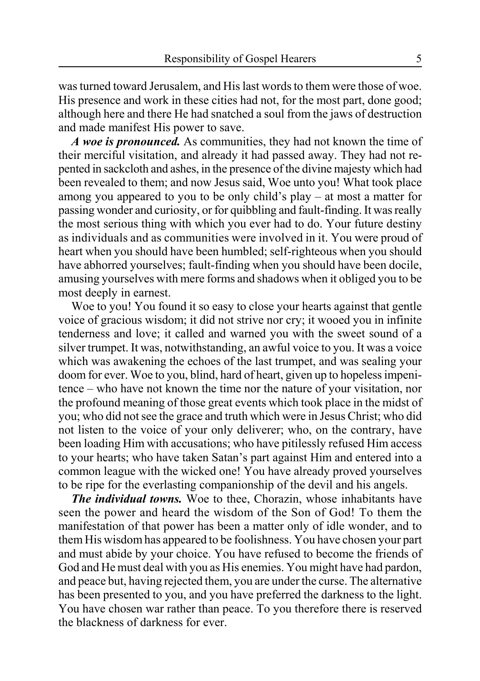was turned toward Jerusalem, and His last words to them were those of woe. His presence and work in these cities had not, for the most part, done good; although here and there He had snatched a soul from the jaws of destruction and made manifest His power to save.

*A woe is pronounced.* As communities, they had not known the time of their merciful visitation, and already it had passed away. They had not repented in sackcloth and ashes, in the presence of the divine majesty which had been revealed to them; and now Jesus said, Woe unto you! What took place among you appeared to you to be only child's play – at most a matter for passing wonder and curiosity, or for quibbling and fault-finding. It was really the most serious thing with which you ever had to do. Your future destiny as individuals and as communities were involved in it. You were proud of heart when you should have been humbled; self-righteous when you should have abhorred yourselves; fault-finding when you should have been docile, amusing yourselves with mere forms and shadows when it obliged you to be most deeply in earnest.

Woe to you! You found it so easy to close your hearts against that gentle voice of gracious wisdom; it did not strive nor cry; it wooed you in infinite tenderness and love; it called and warned you with the sweet sound of a silver trumpet. It was, notwithstanding, an awful voice to you. It was a voice which was awakening the echoes of the last trumpet, and was sealing your doom for ever. Woe to you, blind, hard of heart, given up to hopeless impenitence – who have not known the time nor the nature of your visitation, nor the profound meaning of those great events which took place in the midst of you; who did not see the grace and truth which were in Jesus Christ; who did not listen to the voice of your only deliverer; who, on the contrary, have been loading Him with accusations; who have pitilessly refused Him access to your hearts; who have taken Satan's part against Him and entered into a common league with the wicked one! You have already proved yourselves to be ripe for the everlasting companionship of the devil and his angels.

*The individual towns.* Woe to thee, Chorazin, whose inhabitants have seen the power and heard the wisdom of the Son of God! To them the manifestation of that power has been a matter only of idle wonder, and to them His wisdom has appeared to be foolishness. You have chosen your part and must abide by your choice. You have refused to become the friends of God and He must deal with you as His enemies. You might have had pardon, and peace but, having rejected them, you are under the curse. The alternative has been presented to you, and you have preferred the darkness to the light. You have chosen war rather than peace. To you therefore there is reserved the blackness of darkness for ever.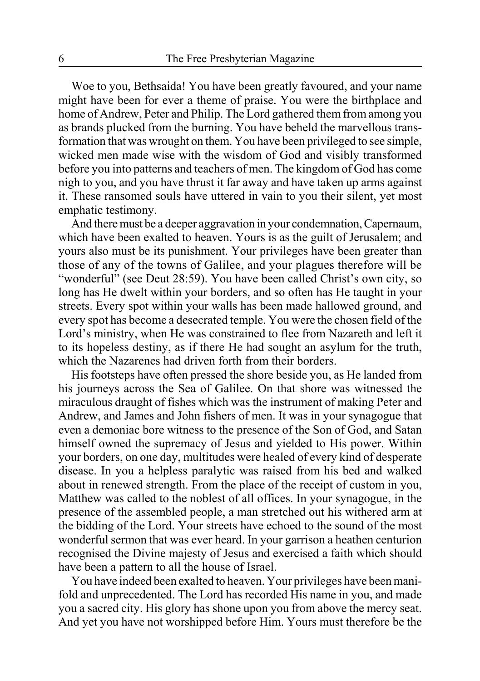Woe to you, Bethsaida! You have been greatly favoured, and your name might have been for ever a theme of praise. You were the birthplace and home of Andrew, Peter and Philip. The Lord gathered them from among you as brands plucked from the burning. You have beheld the marvellous transformation that was wrought on them. You have been privileged to see simple, wicked men made wise with the wisdom of God and visibly transformed before you into patterns and teachers of men. The kingdom of God has come nigh to you, and you have thrust it far away and have taken up arms against it. These ransomed souls have uttered in vain to you their silent, yet most emphatic testimony.

And there must be a deeper aggravation in your condemnation, Capernaum, which have been exalted to heaven. Yours is as the guilt of Jerusalem; and yours also must be its punishment. Your privileges have been greater than those of any of the towns of Galilee, and your plagues therefore will be "wonderful" (see Deut 28:59). You have been called Christ's own city, so long has He dwelt within your borders, and so often has He taught in your streets. Every spot within your walls has been made hallowed ground, and every spot has become a desecrated temple. You were the chosen field of the Lord's ministry, when He was constrained to flee from Nazareth and left it to its hopeless destiny, as if there He had sought an asylum for the truth, which the Nazarenes had driven forth from their borders.

His footsteps have often pressed the shore beside you, as He landed from his journeys across the Sea of Galilee. On that shore was witnessed the miraculous draught of fishes which was the instrument of making Peter and Andrew, and James and John fishers of men. It was in your synagogue that even a demoniac bore witness to the presence of the Son of God, and Satan himself owned the supremacy of Jesus and yielded to His power. Within your borders, on one day, multitudes were healed of every kind of desperate disease. In you a helpless paralytic was raised from his bed and walked about in renewed strength. From the place of the receipt of custom in you, Matthew was called to the noblest of all offices. In your synagogue, in the presence of the assembled people, a man stretched out his withered arm at the bidding of the Lord. Your streets have echoed to the sound of the most wonderful sermon that was ever heard. In your garrison a heathen centurion recognised the Divine majesty of Jesus and exercised a faith which should have been a pattern to all the house of Israel.

You have indeed been exalted to heaven. Your privileges have been manifold and unprecedented. The Lord has recorded His name in you, and made you a sacred city. His glory has shone upon you from above the mercy seat. And yet you have not worshipped before Him. Yours must therefore be the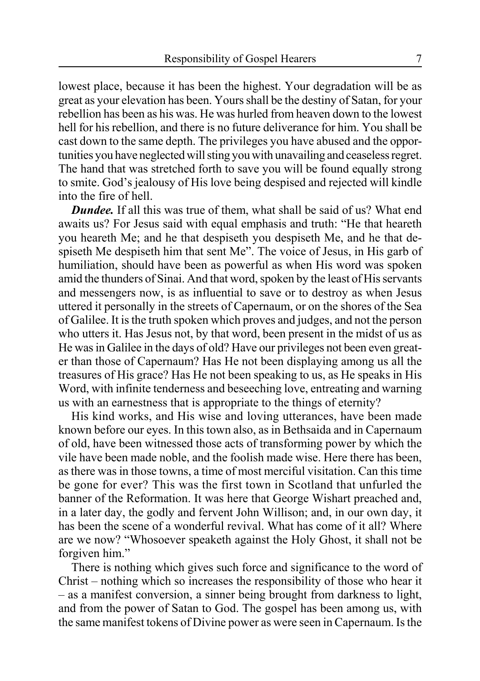lowest place, because it has been the highest. Your degradation will be as great as your elevation has been. Yours shall be the destiny of Satan, for your rebellion has been as his was. He was hurled from heaven down to the lowest hell for his rebellion, and there is no future deliverance for him. You shall be cast down to the same depth. The privileges you have abused and the opportunities you have neglected will sting you with unavailing and ceaseless regret. The hand that was stretched forth to save you will be found equally strong to smite. God's jealousy of His love being despised and rejected will kindle into the fire of hell.

*Dundee.* If all this was true of them, what shall be said of us? What end awaits us? For Jesus said with equal emphasis and truth: "He that heareth you heareth Me; and he that despiseth you despiseth Me, and he that despiseth Me despiseth him that sent Me". The voice of Jesus, in His garb of humiliation, should have been as powerful as when His word was spoken amid the thunders of Sinai. And that word, spoken by the least of His servants and messengers now, is as influential to save or to destroy as when Jesus uttered it personally in the streets of Capernaum, or on the shores of the Sea of Galilee. It is the truth spoken which proves and judges, and not the person who utters it. Has Jesus not, by that word, been present in the midst of us as He was in Galilee in the days of old? Have our privileges not been even greater than those of Capernaum? Has He not been displaying among us all the treasures of His grace? Has He not been speaking to us, as He speaks in His Word, with infinite tenderness and beseeching love, entreating and warning us with an earnestness that is appropriate to the things of eternity?

His kind works, and His wise and loving utterances, have been made known before our eyes. In this town also, as in Bethsaida and in Capernaum of old, have been witnessed those acts of transforming power by which the vile have been made noble, and the foolish made wise. Here there has been, as there was in those towns, a time of most merciful visitation. Can this time be gone for ever? This was the first town in Scotland that unfurled the banner of the Reformation. It was here that George Wishart preached and, in a later day, the godly and fervent John Willison; and, in our own day, it has been the scene of a wonderful revival. What has come of it all? Where are we now? "Whosoever speaketh against the Holy Ghost, it shall not be forgiven him."

There is nothing which gives such force and significance to the word of Christ – nothing which so increases the responsibility of those who hear it – as a manifest conversion, a sinner being brought from darkness to light, and from the power of Satan to God. The gospel has been among us, with the same manifest tokens of Divine power as were seen in Capernaum. Is the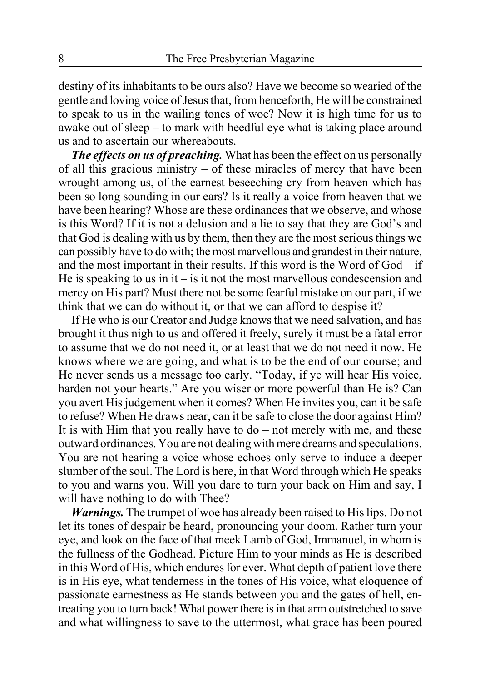destiny of its inhabitants to be ours also? Have we become so wearied of the gentle and loving voice of Jesus that, from henceforth, He will be constrained to speak to us in the wailing tones of woe? Now it is high time for us to awake out of sleep – to mark with heedful eye what is taking place around us and to ascertain our whereabouts.

*The effects on us of preaching.* What has been the effect on us personally of all this gracious ministry – of these miracles of mercy that have been wrought among us, of the earnest beseeching cry from heaven which has been so long sounding in our ears? Is it really a voice from heaven that we have been hearing? Whose are these ordinances that we observe, and whose is this Word? If it is not a delusion and a lie to say that they are God's and that God is dealing with us by them, then they are the most serious things we can possibly have to do with; the most marvellous and grandest in their nature, and the most important in their results. If this word is the Word of God – if He is speaking to us in it – is it not the most marvellous condescension and mercy on His part? Must there not be some fearful mistake on our part, if we think that we can do without it, or that we can afford to despise it?

If He who is our Creator and Judge knows that we need salvation, and has brought it thus nigh to us and offered it freely, surely it must be a fatal error to assume that we do not need it, or at least that we do not need it now. He knows where we are going, and what is to be the end of our course; and He never sends us a message too early. "Today, if ye will hear His voice, harden not your hearts." Are you wiser or more powerful than He is? Can you avert His judgement when it comes? When He invites you, can it be safe to refuse? When He draws near, can it be safe to close the door against Him? It is with Him that you really have to  $do$  – not merely with me, and these outward ordinances. You are not dealing with mere dreams and speculations. You are not hearing a voice whose echoes only serve to induce a deeper slumber of the soul. The Lord is here, in that Word through which He speaks to you and warns you. Will you dare to turn your back on Him and say, I will have nothing to do with Thee?

*Warnings.* The trumpet of woe has already been raised to His lips. Do not let its tones of despair be heard, pronouncing your doom. Rather turn your eye, and look on the face of that meek Lamb of God, Immanuel, in whom is the fullness of the Godhead. Picture Him to your minds as He is described in this Word of His, which endures for ever. What depth of patient love there is in His eye, what tenderness in the tones of His voice, what eloquence of passionate earnestness as He stands between you and the gates of hell, entreating you to turn back! What power there is in that arm outstretched to save and what willingness to save to the uttermost, what grace has been poured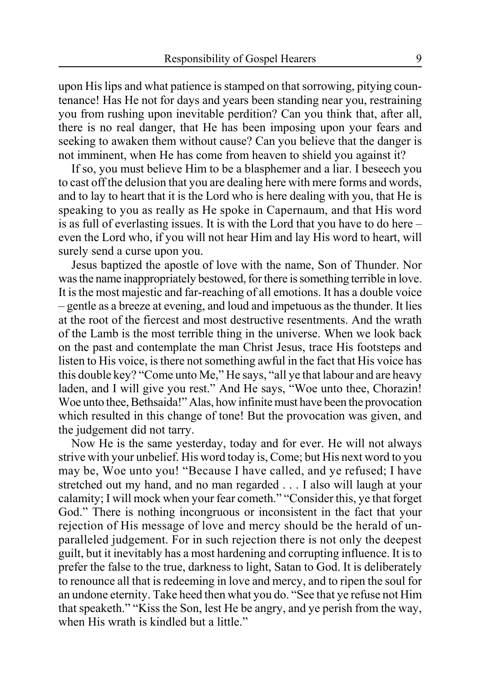upon His lips and what patience is stamped on that sorrowing, pitying countenance! Has He not for days and years been standing near you, restraining you from rushing upon inevitable perdition? Can you think that, after all, there is no real danger, that He has been imposing upon your fears and seeking to awaken them without cause? Can you believe that the danger is not imminent, when He has come from heaven to shield you against it?

If so, you must believe Him to be a blasphemer and a liar. I beseech you to cast off the delusion that you are dealing here with mere forms and words, and to lay to heart that it is the Lord who is here dealing with you, that He is speaking to you as really as He spoke in Capernaum, and that His word is as full of everlasting issues. It is with the Lord that you have to do here – even the Lord who, if you will not hear Him and lay His word to heart, will surely send a curse upon you.

Jesus baptized the apostle of love with the name, Son of Thunder. Nor was the name inappropriately bestowed, for there is something terrible in love. It is the most majestic and far-reaching of all emotions. It has a double voice – gentle as a breeze at evening, and loud and impetuous as the thunder. It lies at the root of the fiercest and most destructive resentments. And the wrath of the Lamb is the most terrible thing in the universe. When we look back on the past and contemplate the man Christ Jesus, trace His footsteps and listen to His voice, is there not something awful in the fact that His voice has this double key? "Come unto Me," He says, "all ye that labour and are heavy laden, and I will give you rest." And He says, "Woe unto thee, Chorazin! Woe unto thee, Bethsaida!" Alas, how infinite must have been the provocation which resulted in this change of tone! But the provocation was given, and the judgement did not tarry.

Now He is the same yesterday, today and for ever. He will not always strive with your unbelief. His word today is, Come; but His next word to you may be, Woe unto you! "Because I have called, and ye refused; I have stretched out my hand, and no man regarded . . . I also will laugh at your calamity; I will mock when your fear cometh." "Consider this, ye that forget God." There is nothing incongruous or inconsistent in the fact that your rejection of His message of love and mercy should be the herald of unparalleled judgement. For in such rejection there is not only the deepest guilt, but it inevitably has a most hardening and corrupting influence. It is to prefer the false to the true, darkness to light, Satan to God. It is deliberately to renounce all that is redeeming in love and mercy, and to ripen the soul for an undone eternity. Take heed then what you do. "See that ye refuse not Him that speaketh." "Kiss the Son, lest He be angry, and ye perish from the way, when His wrath is kindled but a little."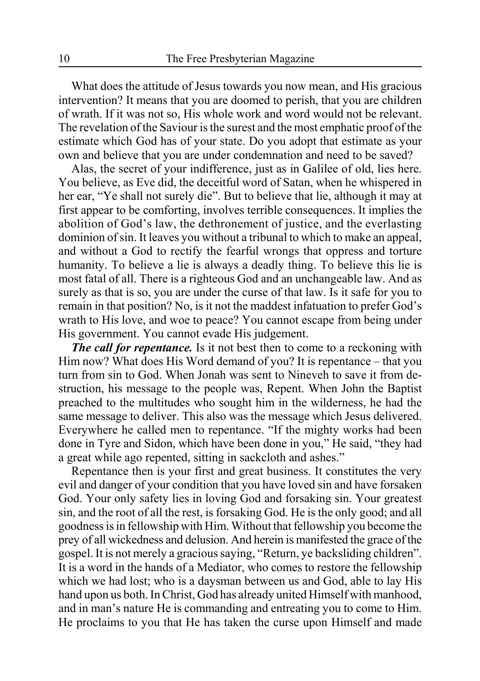What does the attitude of Jesus towards you now mean, and His gracious intervention? It means that you are doomed to perish, that you are children of wrath. If it was not so, His whole work and word would not be relevant. The revelation of the Saviour is the surest and the most emphatic proof of the estimate which God has of your state. Do you adopt that estimate as your own and believe that you are under condemnation and need to be saved?

Alas, the secret of your indifference, just as in Galilee of old, lies here. You believe, as Eve did, the deceitful word of Satan, when he whispered in her ear, "Ye shall not surely die". But to believe that lie, although it may at first appear to be comforting, involves terrible consequences. It implies the abolition of God's law, the dethronement of justice, and the everlasting dominion of sin. It leaves you without a tribunal to which to make an appeal, and without a God to rectify the fearful wrongs that oppress and torture humanity. To believe a lie is always a deadly thing. To believe this lie is most fatal of all. There is a righteous God and an unchangeable law. And as surely as that is so, you are under the curse of that law. Is it safe for you to remain in that position? No, is it not the maddest infatuation to prefer God's wrath to His love, and woe to peace? You cannot escape from being under His government. You cannot evade His judgement.

*The call for repentance.* Is it not best then to come to a reckoning with Him now? What does His Word demand of you? It is repentance – that you turn from sin to God. When Jonah was sent to Nineveh to save it from destruction, his message to the people was, Repent. When John the Baptist preached to the multitudes who sought him in the wilderness, he had the same message to deliver. This also was the message which Jesus delivered. Everywhere he called men to repentance. "If the mighty works had been done in Tyre and Sidon, which have been done in you," He said, "they had a great while ago repented, sitting in sackcloth and ashes."

Repentance then is your first and great business. It constitutes the very evil and danger of your condition that you have loved sin and have forsaken God. Your only safety lies in loving God and forsaking sin. Your greatest sin, and the root of all the rest, is forsaking God. He is the only good; and all goodness is in fellowship with Him. Without that fellowship you become the prey of all wickedness and delusion. And herein is manifested the grace of the gospel. It is not merely a gracious saying, "Return, ye backsliding children". It is a word in the hands of a Mediator, who comes to restore the fellowship which we had lost; who is a daysman between us and God, able to lay His hand upon us both. In Christ, God has already united Himself with manhood, and in man's nature He is commanding and entreating you to come to Him. He proclaims to you that He has taken the curse upon Himself and made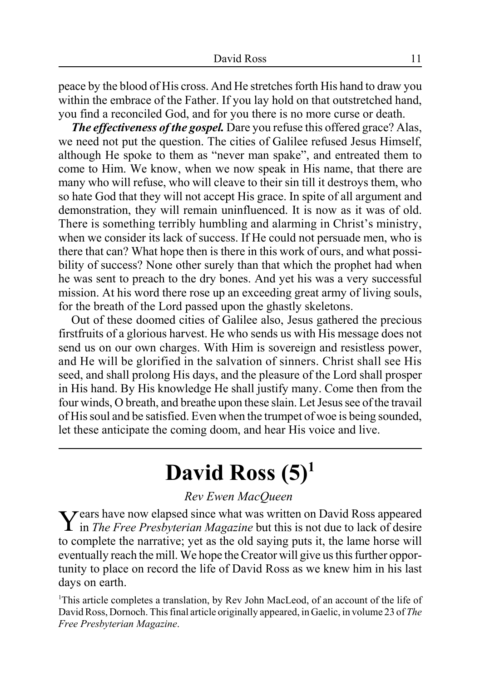peace by the blood of His cross. And He stretches forth His hand to draw you within the embrace of the Father. If you lay hold on that outstretched hand, you find a reconciled God, and for you there is no more curse or death.

*The effectiveness of the gospel.* Dare you refuse this offered grace? Alas, we need not put the question. The cities of Galilee refused Jesus Himself, although He spoke to them as "never man spake", and entreated them to come to Him. We know, when we now speak in His name, that there are many who will refuse, who will cleave to their sin till it destroys them, who so hate God that they will not accept His grace. In spite of all argument and demonstration, they will remain uninfluenced. It is now as it was of old. There is something terribly humbling and alarming in Christ's ministry, when we consider its lack of success. If He could not persuade men, who is there that can? What hope then is there in this work of ours, and what possibility of success? None other surely than that which the prophet had when he was sent to preach to the dry bones. And yet his was a very successful mission. At his word there rose up an exceeding great army of living souls, for the breath of the Lord passed upon the ghastly skeletons.

Out of these doomed cities of Galilee also, Jesus gathered the precious firstfruits of a glorious harvest. He who sends us with His message does not send us on our own charges. With Him is sovereign and resistless power, and He will be glorified in the salvation of sinners. Christ shall see His seed, and shall prolong His days, and the pleasure of the Lord shall prosper in His hand. By His knowledge He shall justify many. Come then from the four winds, O breath, and breathe upon these slain. Let Jesus see of the travail of His soul and be satisfied. Even when the trumpet of woe is being sounded, let these anticipate the coming doom, and hear His voice and live.

### David Ross  $(5)^1$

### *Rev Ewen MacQueen*

Years have now elapsed since what was written on David Ross appeared in *The Free Presbyterian Magazine* but this is not due to lack of desire to complete the narrative; yet as the old saying puts it, the lame horse will eventually reach the mill. We hope the Creator will give us this further opportunity to place on record the life of David Ross as we knew him in his last days on earth.

<sup>1</sup>This article completes a translation, by Rev John MacLeod, of an account of the life of David Ross, Dornoch. This final article originally appeared, in Gaelic, in volume 23 of *The Free Presbyterian Magazine*.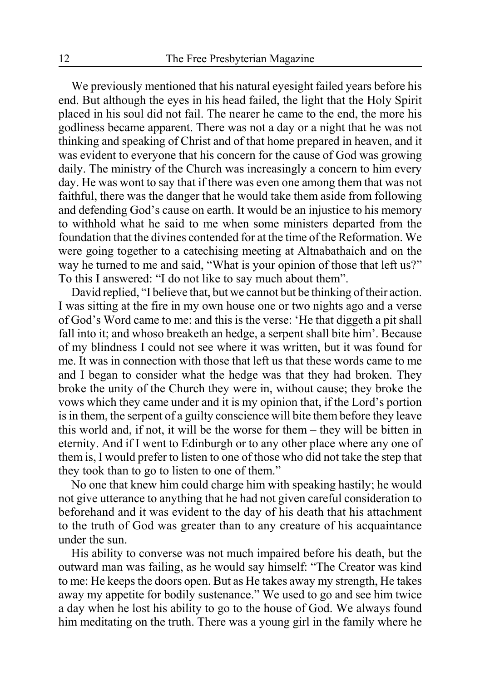We previously mentioned that his natural eyesight failed years before his end. But although the eyes in his head failed, the light that the Holy Spirit placed in his soul did not fail. The nearer he came to the end, the more his godliness became apparent. There was not a day or a night that he was not thinking and speaking of Christ and of that home prepared in heaven, and it was evident to everyone that his concern for the cause of God was growing daily. The ministry of the Church was increasingly a concern to him every day. He was wont to say that if there was even one among them that was not faithful, there was the danger that he would take them aside from following and defending God's cause on earth. It would be an injustice to his memory to withhold what he said to me when some ministers departed from the foundation that the divines contended for at the time of the Reformation. We were going together to a catechising meeting at Altnabathaich and on the way he turned to me and said, "What is your opinion of those that left us?" To this I answered: "I do not like to say much about them".

David replied, "I believe that, but we cannot but be thinking of their action. I was sitting at the fire in my own house one or two nights ago and a verse of God's Word came to me: and this is the verse: 'He that diggeth a pit shall fall into it; and whoso breaketh an hedge, a serpent shall bite him'. Because of my blindness I could not see where it was written, but it was found for me. It was in connection with those that left us that these words came to me and I began to consider what the hedge was that they had broken. They broke the unity of the Church they were in, without cause; they broke the vows which they came under and it is my opinion that, if the Lord's portion is in them, the serpent of a guilty conscience will bite them before they leave this world and, if not, it will be the worse for them – they will be bitten in eternity. And if I went to Edinburgh or to any other place where any one of them is, I would prefer to listen to one of those who did not take the step that they took than to go to listen to one of them."

No one that knew him could charge him with speaking hastily; he would not give utterance to anything that he had not given careful consideration to beforehand and it was evident to the day of his death that his attachment to the truth of God was greater than to any creature of his acquaintance under the sun.

His ability to converse was not much impaired before his death, but the outward man was failing, as he would say himself: "The Creator was kind to me: He keeps the doors open. But as He takes away my strength, He takes away my appetite for bodily sustenance." We used to go and see him twice a day when he lost his ability to go to the house of God. We always found him meditating on the truth. There was a young girl in the family where he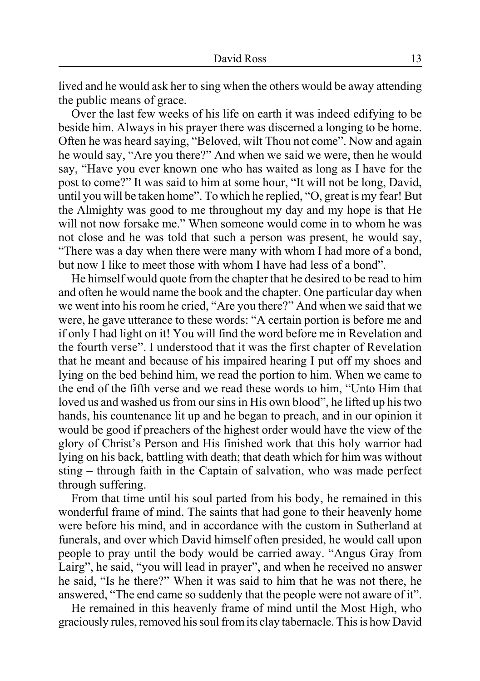lived and he would ask her to sing when the others would be away attending the public means of grace.

Over the last few weeks of his life on earth it was indeed edifying to be beside him. Always in his prayer there was discerned a longing to be home. Often he was heard saying, "Beloved, wilt Thou not come". Now and again he would say, "Are you there?" And when we said we were, then he would say, "Have you ever known one who has waited as long as I have for the post to come?" It was said to him at some hour, "It will not be long, David, until you will be taken home". To which he replied, "O, great is my fear! But the Almighty was good to me throughout my day and my hope is that He will not now forsake me." When someone would come in to whom he was not close and he was told that such a person was present, he would say, "There was a day when there were many with whom I had more of a bond, but now I like to meet those with whom I have had less of a bond".

He himself would quote from the chapter that he desired to be read to him and often he would name the book and the chapter. One particular day when we went into his room he cried, "Are you there?" And when we said that we were, he gave utterance to these words: "A certain portion is before me and if only I had light on it! You will find the word before me in Revelation and the fourth verse". I understood that it was the first chapter of Revelation that he meant and because of his impaired hearing I put off my shoes and lying on the bed behind him, we read the portion to him. When we came to the end of the fifth verse and we read these words to him, "Unto Him that loved us and washed us from our sins in His own blood", he lifted up his two hands, his countenance lit up and he began to preach, and in our opinion it would be good if preachers of the highest order would have the view of the glory of Christ's Person and His finished work that this holy warrior had lying on his back, battling with death; that death which for him was without sting – through faith in the Captain of salvation, who was made perfect through suffering.

From that time until his soul parted from his body, he remained in this wonderful frame of mind. The saints that had gone to their heavenly home were before his mind, and in accordance with the custom in Sutherland at funerals, and over which David himself often presided, he would call upon people to pray until the body would be carried away. "Angus Gray from Lairg", he said, "you will lead in prayer", and when he received no answer he said, "Is he there?" When it was said to him that he was not there, he answered, "The end came so suddenly that the people were not aware of it".

He remained in this heavenly frame of mind until the Most High, who graciously rules, removed his soul from its clay tabernacle. This is how David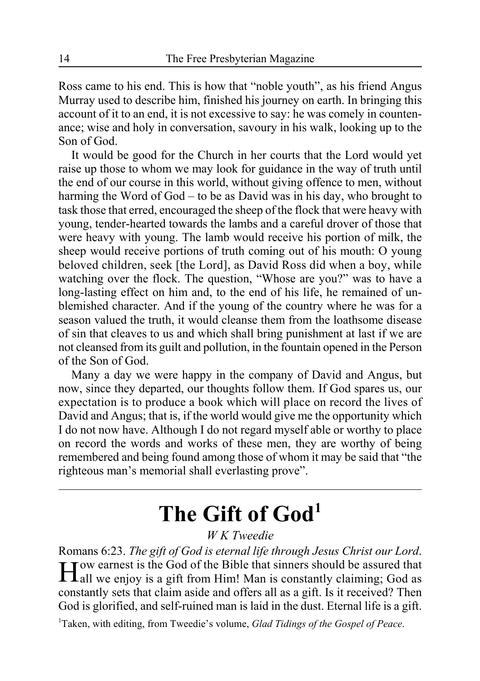Ross came to his end. This is how that "noble youth", as his friend Angus Murray used to describe him, finished his journey on earth. In bringing this account of it to an end, it is not excessive to say: he was comely in countenance; wise and holy in conversation, savoury in his walk, looking up to the Son of God.

It would be good for the Church in her courts that the Lord would yet raise up those to whom we may look for guidance in the way of truth until the end of our course in this world, without giving offence to men, without harming the Word of God – to be as David was in his day, who brought to task those that erred, encouraged the sheep of the flock that were heavy with young, tender-hearted towards the lambs and a careful drover of those that were heavy with young. The lamb would receive his portion of milk, the sheep would receive portions of truth coming out of his mouth: O young beloved children, seek [the Lord], as David Ross did when a boy, while watching over the flock. The question, "Whose are you?" was to have a long-lasting effect on him and, to the end of his life, he remained of unblemished character. And if the young of the country where he was for a season valued the truth, it would cleanse them from the loathsome disease of sin that cleaves to us and which shall bring punishment at last if we are not cleansed from its guilt and pollution, in the fountain opened in the Person of the Son of God.

Many a day we were happy in the company of David and Angus, but now, since they departed, our thoughts follow them. If God spares us, our expectation is to produce a book which will place on record the lives of David and Angus; that is, if the world would give me the opportunity which I do not now have. Although I do not regard myself able or worthy to place on record the words and works of these men, they are worthy of being remembered and being found among those of whom it may be said that "the righteous man's memorial shall everlasting prove".

# The Gift of God<sup>1</sup>

### *W K Tweedie*

Romans 6:23. *The gift of God is eternal life through Jesus Christ our Lord*. How earnest is the God of the Bible that sinners should be assured that all we enjoy is a gift from Him! Man is constantly claiming; God as constantly sets that claim aside and offers all as a gift. Is it received? Then God is glorified, and self-ruined man is laid in the dust. Eternal life is a gift.

1 Taken, with editing, from Tweedie's volume, *Glad Tidings of the Gospel of Peace*.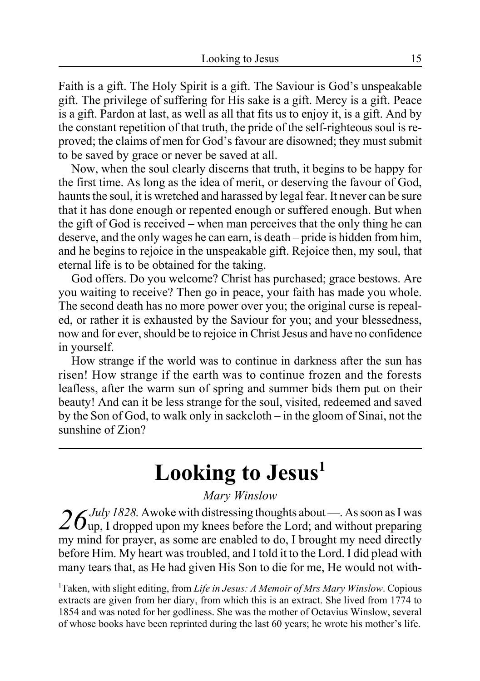Faith is a gift. The Holy Spirit is a gift. The Saviour is God's unspeakable gift. The privilege of suffering for His sake is a gift. Mercy is a gift. Peace is a gift. Pardon at last, as well as all that fits us to enjoy it, is a gift. And by the constant repetition of that truth, the pride of the self-righteous soul is reproved; the claims of men for God's favour are disowned; they must submit to be saved by grace or never be saved at all.

Now, when the soul clearly discerns that truth, it begins to be happy for the first time. As long as the idea of merit, or deserving the favour of God, haunts the soul, it is wretched and harassed by legal fear. It never can be sure that it has done enough or repented enough or suffered enough. But when the gift of God is received – when man perceives that the only thing he can deserve, and the only wages he can earn, is death – pride is hidden from him, and he begins to rejoice in the unspeakable gift. Rejoice then, my soul, that eternal life is to be obtained for the taking.

God offers. Do you welcome? Christ has purchased; grace bestows. Are you waiting to receive? Then go in peace, your faith has made you whole. The second death has no more power over you; the original curse is repealed, or rather it is exhausted by the Saviour for you; and your blessedness, now and for ever, should be to rejoice in Christ Jesus and have no confidence in yourself.

How strange if the world was to continue in darkness after the sun has risen! How strange if the earth was to continue frozen and the forests leafless, after the warm sun of spring and summer bids them put on their beauty! And can it be less strange for the soul, visited, redeemed and saved by the Son of God, to walk only in sackcloth – in the gloom of Sinai, not the sunshine of Zion?

## Looking to Jesus<sup>1</sup>

### *Mary Winslow*

 $26$ *July 1828*. Awoke with distressing thoughts about —. As soon as I was  $\Omega$  without preparing  $\Omega$ my mind for prayer, as some are enabled to do, I brought my need directly before Him. My heart was troubled, and I told it to the Lord. I did plead with many tears that, as He had given His Son to die for me, He would not with-

1 Taken, with slight editing, from *Life in Jesus: A Memoir of Mrs Mary Winslow*. Copious extracts are given from her diary, from which this is an extract. She lived from 1774 to 1854 and was noted for her godliness. She was the mother of Octavius Winslow, several of whose books have been reprinted during the last 60 years; he wrote his mother's life.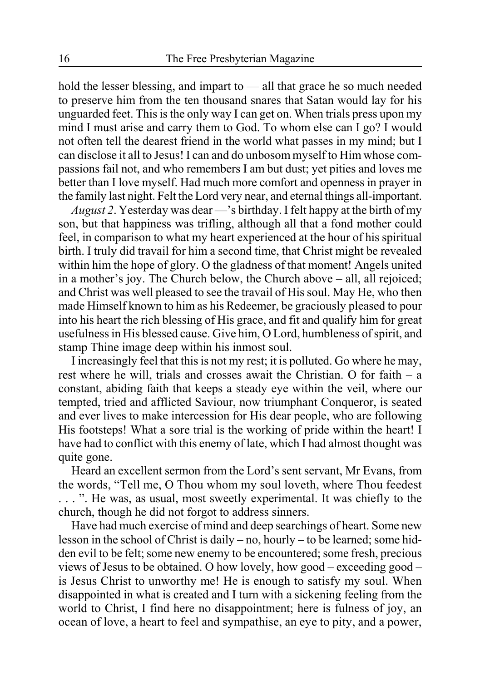hold the lesser blessing, and impart to — all that grace he so much needed to preserve him from the ten thousand snares that Satan would lay for his unguarded feet. This is the only way I can get on. When trials press upon my mind I must arise and carry them to God. To whom else can I go? I would not often tell the dearest friend in the world what passes in my mind; but I can disclose it all to Jesus! I can and do unbosom myself to Him whose compassions fail not, and who remembers I am but dust; yet pities and loves me better than I love myself. Had much more comfort and openness in prayer in the family last night. Felt the Lord very near, and eternal things all-important.

*August 2*. Yesterday was dear —'s birthday. I felt happy at the birth of my son, but that happiness was trifling, although all that a fond mother could feel, in comparison to what my heart experienced at the hour of his spiritual birth. I truly did travail for him a second time, that Christ might be revealed within him the hope of glory. O the gladness of that moment! Angels united in a mother's joy. The Church below, the Church above – all, all rejoiced; and Christ was well pleased to see the travail of His soul. May He, who then made Himself known to him as his Redeemer, be graciously pleased to pour into his heart the rich blessing of His grace, and fit and qualify him for great usefulness in His blessed cause. Give him, O Lord, humbleness of spirit, and stamp Thine image deep within his inmost soul.

I increasingly feel that this is not my rest; it is polluted. Go where he may, rest where he will, trials and crosses await the Christian. O for faith – a constant, abiding faith that keeps a steady eye within the veil, where our tempted, tried and afflicted Saviour, now triumphant Conqueror, is seated and ever lives to make intercession for His dear people, who are following His footsteps! What a sore trial is the working of pride within the heart! I have had to conflict with this enemy of late, which I had almost thought was quite gone.

Heard an excellent sermon from the Lord's sent servant, Mr Evans, from the words, "Tell me, O Thou whom my soul loveth, where Thou feedest . . . ". He was, as usual, most sweetly experimental. It was chiefly to the church, though he did not forgot to address sinners.

Have had much exercise of mind and deep searchings of heart. Some new lesson in the school of Christ is daily – no, hourly – to be learned; some hidden evil to be felt; some new enemy to be encountered; some fresh, precious views of Jesus to be obtained. O how lovely, how good – exceeding good – is Jesus Christ to unworthy me! He is enough to satisfy my soul. When disappointed in what is created and I turn with a sickening feeling from the world to Christ, I find here no disappointment; here is fulness of joy, an ocean of love, a heart to feel and sympathise, an eye to pity, and a power,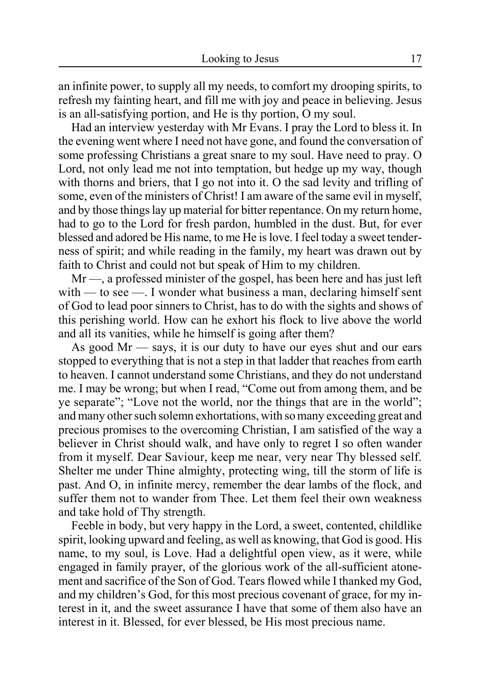an infinite power, to supply all my needs, to comfort my drooping spirits, to refresh my fainting heart, and fill me with joy and peace in believing. Jesus is an all-satisfying portion, and He is thy portion, O my soul.

Had an interview yesterday with Mr Evans. I pray the Lord to bless it. In the evening went where I need not have gone, and found the conversation of some professing Christians a great snare to my soul. Have need to pray. O Lord, not only lead me not into temptation, but hedge up my way, though with thorns and briers, that I go not into it. O the sad levity and trifling of some, even of the ministers of Christ! I am aware of the same evil in myself, and by those things lay up material for bitter repentance. On my return home, had to go to the Lord for fresh pardon, humbled in the dust. But, for ever blessed and adored be His name, to me He is love. I feel today a sweet tenderness of spirit; and while reading in the family, my heart was drawn out by faith to Christ and could not but speak of Him to my children.

Mr —, a professed minister of the gospel, has been here and has just left with — to see —. I wonder what business a man, declaring himself sent of God to lead poor sinners to Christ, has to do with the sights and shows of this perishing world. How can he exhort his flock to live above the world and all its vanities, while he himself is going after them?

As good Mr — says, it is our duty to have our eyes shut and our ears stopped to everything that is not a step in that ladder that reaches from earth to heaven. I cannot understand some Christians, and they do not understand me. I may be wrong; but when I read, "Come out from among them, and be ye separate"; "Love not the world, nor the things that are in the world"; and many other such solemn exhortations, with so many exceeding great and precious promises to the overcoming Christian, I am satisfied of the way a believer in Christ should walk, and have only to regret I so often wander from it myself. Dear Saviour, keep me near, very near Thy blessed self. Shelter me under Thine almighty, protecting wing, till the storm of life is past. And O, in infinite mercy, remember the dear lambs of the flock, and suffer them not to wander from Thee. Let them feel their own weakness and take hold of Thy strength.

Feeble in body, but very happy in the Lord, a sweet, contented, childlike spirit, looking upward and feeling, as well as knowing, that God is good. His name, to my soul, is Love. Had a delightful open view, as it were, while engaged in family prayer, of the glorious work of the all-sufficient atonement and sacrifice of the Son of God. Tears flowed while I thanked my God, and my children's God, for this most precious covenant of grace, for my interest in it, and the sweet assurance I have that some of them also have an interest in it. Blessed, for ever blessed, be His most precious name.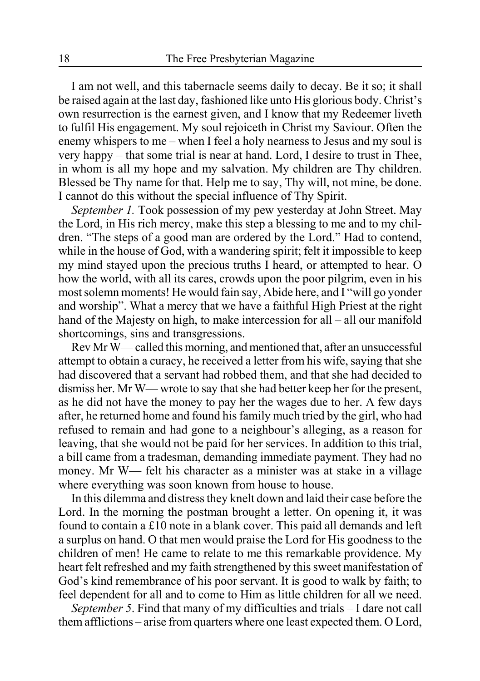I am not well, and this tabernacle seems daily to decay. Be it so; it shall be raised again at the last day, fashioned like unto His glorious body. Christ's own resurrection is the earnest given, and I know that my Redeemer liveth to fulfil His engagement. My soul rejoiceth in Christ my Saviour. Often the enemy whispers to me – when I feel a holy nearness to Jesus and my soul is very happy – that some trial is near at hand. Lord, I desire to trust in Thee, in whom is all my hope and my salvation. My children are Thy children. Blessed be Thy name for that. Help me to say, Thy will, not mine, be done. I cannot do this without the special influence of Thy Spirit.

*September 1.* Took possession of my pew yesterday at John Street. May the Lord, in His rich mercy, make this step a blessing to me and to my children. "The steps of a good man are ordered by the Lord." Had to contend, while in the house of God, with a wandering spirit; felt it impossible to keep my mind stayed upon the precious truths I heard, or attempted to hear. O how the world, with all its cares, crowds upon the poor pilgrim, even in his most solemn moments! He would fain say, Abide here, and I "will go yonder and worship". What a mercy that we have a faithful High Priest at the right hand of the Majesty on high, to make intercession for all – all our manifold shortcomings, sins and transgressions.

Rev Mr W— called this morning, and mentioned that, after an unsuccessful attempt to obtain a curacy, he received a letter from his wife, saying that she had discovered that a servant had robbed them, and that she had decided to dismiss her. Mr W— wrote to say that she had better keep her for the present, as he did not have the money to pay her the wages due to her. A few days after, he returned home and found his family much tried by the girl, who had refused to remain and had gone to a neighbour's alleging, as a reason for leaving, that she would not be paid for her services. In addition to this trial, a bill came from a tradesman, demanding immediate payment. They had no money. Mr W— felt his character as a minister was at stake in a village where everything was soon known from house to house.

In this dilemma and distress they knelt down and laid their case before the Lord. In the morning the postman brought a letter. On opening it, it was found to contain a £10 note in a blank cover. This paid all demands and left a surplus on hand. O that men would praise the Lord for His goodness to the children of men! He came to relate to me this remarkable providence. My heart felt refreshed and my faith strengthened by this sweet manifestation of God's kind remembrance of his poor servant. It is good to walk by faith; to feel dependent for all and to come to Him as little children for all we need.

*September 5*. Find that many of my difficulties and trials – I dare not call them afflictions – arise from quarters where one least expected them. O Lord,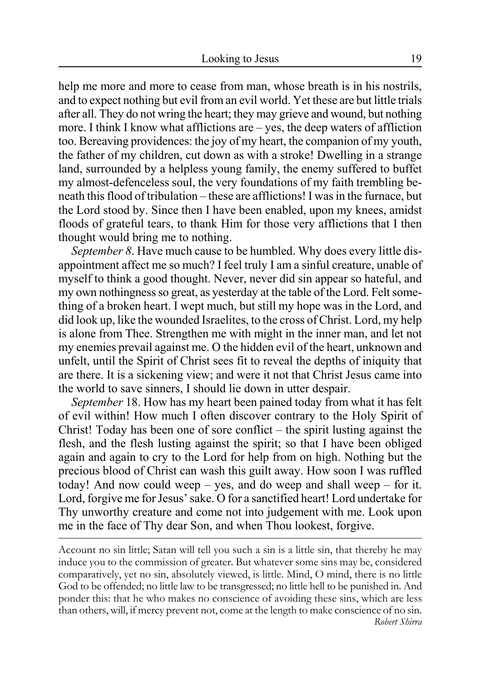help me more and more to cease from man, whose breath is in his nostrils, and to expect nothing but evil from an evil world. Yet these are but little trials after all. They do not wring the heart; they may grieve and wound, but nothing more. I think I know what afflictions are – yes, the deep waters of affliction too. Bereaving providences: the joy of my heart, the companion of my youth, the father of my children, cut down as with a stroke! Dwelling in a strange land, surrounded by a helpless young family, the enemy suffered to buffet my almost-defenceless soul, the very foundations of my faith trembling beneath this flood of tribulation – these are afflictions! I was in the furnace, but the Lord stood by. Since then I have been enabled, upon my knees, amidst floods of grateful tears, to thank Him for those very afflictions that I then thought would bring me to nothing.

*September 8*. Have much cause to be humbled. Why does every little disappointment affect me so much? I feel truly I am a sinful creature, unable of myself to think a good thought. Never, never did sin appear so hateful, and my own nothingness so great, as yesterday at the table of the Lord. Felt something of a broken heart. I wept much, but still my hope was in the Lord, and did look up, like the wounded Israelites, to the cross of Christ. Lord, my help is alone from Thee. Strengthen me with might in the inner man, and let not my enemies prevail against me. O the hidden evil of the heart, unknown and unfelt, until the Spirit of Christ sees fit to reveal the depths of iniquity that are there. It is a sickening view; and were it not that Christ Jesus came into the world to save sinners, I should lie down in utter despair.

*September* 18. How has my heart been pained today from what it has felt of evil within! How much I often discover contrary to the Holy Spirit of Christ! Today has been one of sore conflict – the spirit lusting against the flesh, and the flesh lusting against the spirit; so that I have been obliged again and again to cry to the Lord for help from on high. Nothing but the precious blood of Christ can wash this guilt away. How soon I was ruffled today! And now could weep – yes, and do weep and shall weep – for it. Lord, forgive me for Jesus' sake. O for a sanctified heart! Lord undertake for Thy unworthy creature and come not into judgement with me. Look upon me in the face of Thy dear Son, and when Thou lookest, forgive.

Account no sin little; Satan will tell you such a sin is a little sin, that thereby he may induce you to the commission of greater. But whatever some sins may be, considered comparatively, yet no sin, absolutely viewed, is little. Mind, O mind, there is no little God to be offended; no little law to be transgressed; no little hell to be punished in. And ponder this: that he who makes no conscience of avoiding these sins, which are less than others, will, if mercy prevent not, come at the length to make conscience of no sin. *Robert Shirra*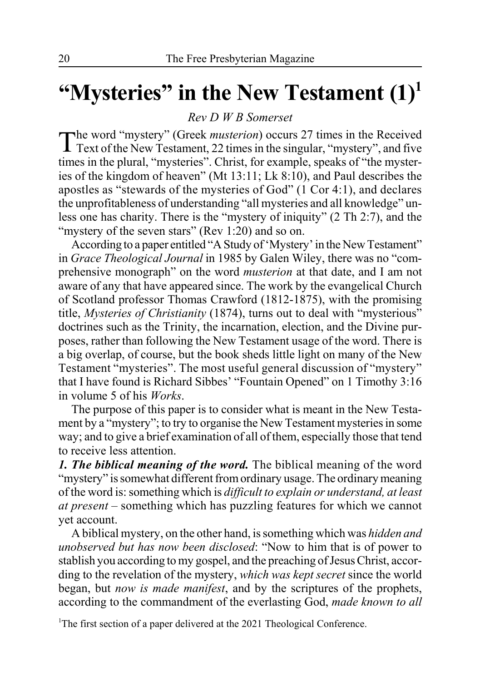### **"Mysteries" in the New Testament (1)1**

*Rev D W B Somerset*

The word "mystery" (Greek *musterion*) occurs 27 times in the Received Text of the New Testament, 22 times in the singular, "mystery", and five times in the plural, "mysteries". Christ, for example, speaks of "the mysteries of the kingdom of heaven" (Mt 13:11; Lk 8:10), and Paul describes the apostles as "stewards of the mysteries of God" (1 Cor 4:1), and declares the unprofitableness of understanding "all mysteries and all knowledge" unless one has charity. There is the "mystery of iniquity" (2 Th 2:7), and the "mystery of the seven stars" (Rev 1:20) and so on.

According to a paper entitled "A Study of 'Mystery' in the New Testament" in *Grace Theological Journal* in 1985 by Galen Wiley, there was no "comprehensive monograph" on the word *musterion* at that date, and I am not aware of any that have appeared since. The work by the evangelical Church of Scotland professor Thomas Crawford (1812-1875), with the promising title, *Mysteries of Christianity* (1874), turns out to deal with "mysterious" doctrines such as the Trinity, the incarnation, election, and the Divine purposes, rather than following the New Testament usage of the word. There is a big overlap, of course, but the book sheds little light on many of the New Testament "mysteries". The most useful general discussion of "mystery" that I have found is Richard Sibbes' "Fountain Opened" on 1 Timothy 3:16 in volume 5 of his *Works*.

The purpose of this paper is to consider what is meant in the New Testament by a "mystery"; to try to organise the New Testament mysteries in some way; and to give a brief examination of all of them, especially those that tend to receive less attention.

*1. The biblical meaning of the word.* The biblical meaning of the word "mystery" is somewhat different from ordinary usage. The ordinary meaning of the word is: something which is *difficult to explain or understand, at least at present* – something which has puzzling features for which we cannot yet account.

A biblical mystery, on the other hand, is something which was *hidden and unobserved but has now been disclosed*: "Now to him that is of power to stablish you according to my gospel, and the preaching of Jesus Christ, according to the revelation of the mystery, *which was kept secret* since the world began, but *now is made manifest*, and by the scriptures of the prophets, according to the commandment of the everlasting God, *made known to all*

<sup>1</sup>The first section of a paper delivered at the 2021 Theological Conference.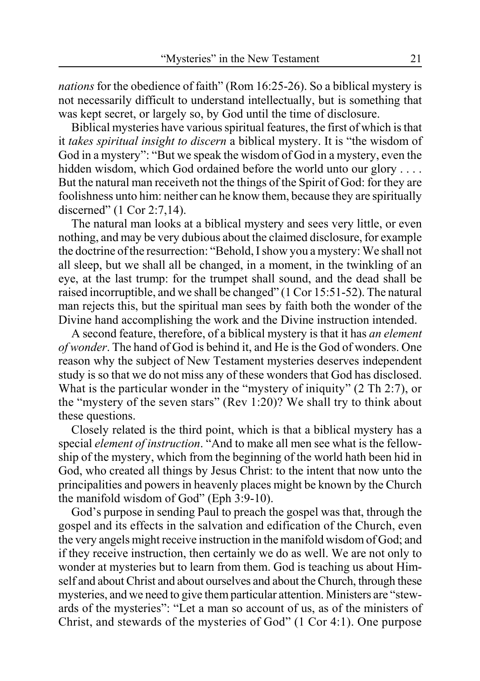*nations* for the obedience of faith" (Rom 16:25-26). So a biblical mystery is not necessarily difficult to understand intellectually, but is something that was kept secret, or largely so, by God until the time of disclosure.

Biblical mysteries have various spiritual features, the first of which is that it *takes spiritual insight to discern* a biblical mystery. It is "the wisdom of God in a mystery": "But we speak the wisdom of God in a mystery, even the hidden wisdom, which God ordained before the world unto our glory .... But the natural man receiveth not the things of the Spirit of God: for they are foolishness unto him: neither can he know them, because they are spiritually discerned" (1 Cor 2:7,14).

The natural man looks at a biblical mystery and sees very little, or even nothing, and may be very dubious about the claimed disclosure, for example the doctrine of the resurrection: "Behold, I show you a mystery: We shall not all sleep, but we shall all be changed, in a moment, in the twinkling of an eye, at the last trump: for the trumpet shall sound, and the dead shall be raised incorruptible, and we shall be changed" (1 Cor 15:51-52). The natural man rejects this, but the spiritual man sees by faith both the wonder of the Divine hand accomplishing the work and the Divine instruction intended.

A second feature, therefore, of a biblical mystery is that it has *an element of wonder*. The hand of God is behind it, and He is the God of wonders. One reason why the subject of New Testament mysteries deserves independent study is so that we do not miss any of these wonders that God has disclosed. What is the particular wonder in the "mystery of iniquity" (2 Th 2:7), or the "mystery of the seven stars" (Rev 1:20)? We shall try to think about these questions.

Closely related is the third point, which is that a biblical mystery has a special *element of instruction*. "And to make all men see what is the fellowship of the mystery, which from the beginning of the world hath been hid in God, who created all things by Jesus Christ: to the intent that now unto the principalities and powers in heavenly places might be known by the Church the manifold wisdom of God" (Eph 3:9-10).

God's purpose in sending Paul to preach the gospel was that, through the gospel and its effects in the salvation and edification of the Church, even the very angels might receive instruction in the manifold wisdom of God; and if they receive instruction, then certainly we do as well. We are not only to wonder at mysteries but to learn from them. God is teaching us about Himself and about Christ and about ourselves and about the Church, through these mysteries, and we need to give them particular attention. Ministers are "stewards of the mysteries": "Let a man so account of us, as of the ministers of Christ, and stewards of the mysteries of God" (1 Cor 4:1). One purpose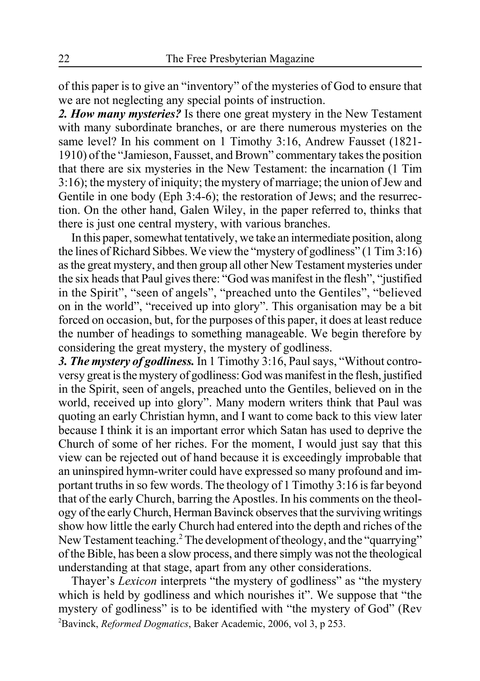of this paper is to give an "inventory" of the mysteries of God to ensure that we are not neglecting any special points of instruction.

*2. How many mysteries?* Is there one great mystery in the New Testament with many subordinate branches, or are there numerous mysteries on the same level? In his comment on 1 Timothy 3:16, Andrew Fausset (1821- 1910) of the "Jamieson, Fausset, and Brown" commentary takes the position that there are six mysteries in the New Testament: the incarnation (1 Tim 3:16); the mystery of iniquity; the mystery of marriage; the union of Jew and Gentile in one body (Eph 3:4-6); the restoration of Jews; and the resurrection. On the other hand, Galen Wiley, in the paper referred to, thinks that there is just one central mystery, with various branches.

In this paper, somewhat tentatively, we take an intermediate position, along the lines of Richard Sibbes. We view the "mystery of godliness" (1 Tim 3:16) as the great mystery, and then group all other New Testament mysteries under the six heads that Paul gives there: "God was manifest in the flesh", "justified in the Spirit", "seen of angels", "preached unto the Gentiles", "believed on in the world", "received up into glory". This organisation may be a bit forced on occasion, but, for the purposes of this paper, it does at least reduce the number of headings to something manageable. We begin therefore by considering the great mystery, the mystery of godliness.

*3. The mystery of godliness.* In 1 Timothy 3:16, Paul says, "Without controversy great is the mystery of godliness: God was manifest in the flesh, justified in the Spirit, seen of angels, preached unto the Gentiles, believed on in the world, received up into glory". Many modern writers think that Paul was quoting an early Christian hymn, and I want to come back to this view later because I think it is an important error which Satan has used to deprive the Church of some of her riches. For the moment, I would just say that this view can be rejected out of hand because it is exceedingly improbable that an uninspired hymn-writer could have expressed so many profound and important truths in so few words. The theology of 1 Timothy 3:16 is far beyond that of the early Church, barring the Apostles. In his comments on the theology of the early Church, Herman Bavinck observes that the surviving writings show how little the early Church had entered into the depth and riches of the New Testament teaching.<sup>2</sup> The development of theology, and the "quarrying" of the Bible, has been a slow process, and there simply was not the theological understanding at that stage, apart from any other considerations.

Thayer's *Lexicon* interprets "the mystery of godliness" as "the mystery which is held by godliness and which nourishes it". We suppose that "the mystery of godliness" is to be identified with "the mystery of God" (Rev 2 Bavinck, *Reformed Dogmatics*, Baker Academic, 2006, vol 3, p 253.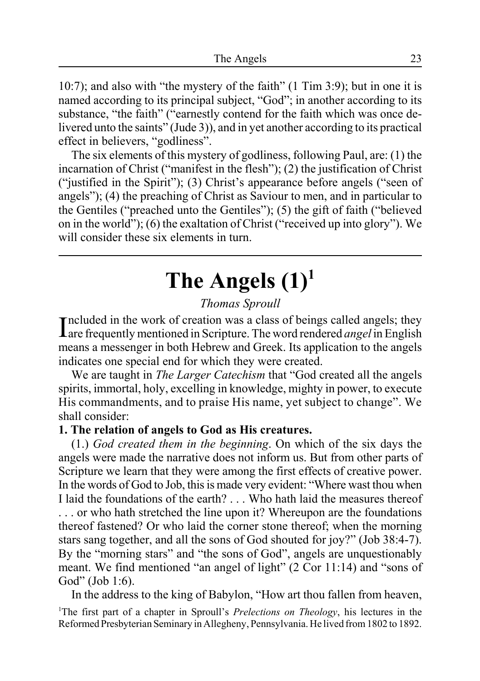10:7); and also with "the mystery of the faith" (1 Tim 3:9); but in one it is named according to its principal subject, "God"; in another according to its substance, "the faith" ("earnestly contend for the faith which was once delivered unto the saints" (Jude 3)), and in yet another according to its practical effect in believers, "godliness".

The six elements of this mystery of godliness, following Paul, are: (1) the incarnation of Christ ("manifest in the flesh"); (2) the justification of Christ ("justified in the Spirit"); (3) Christ's appearance before angels ("seen of angels"); (4) the preaching of Christ as Saviour to men, and in particular to the Gentiles ("preached unto the Gentiles"); (5) the gift of faith ("believed on in the world"); (6) the exaltation of Christ ("received up into glory"). We will consider these six elements in turn.

# **The Angels (1)1**

### *Thomas Sproull*

Included in the work of creation was a class of beings called angels; they lare frequently mentioned in Scripture. The word rendered *angel* in English are frequently mentioned in Scripture. The word rendered *angel* in English means a messenger in both Hebrew and Greek. Its application to the angels indicates one special end for which they were created.

We are taught in *The Larger Catechism* that "God created all the angels spirits, immortal, holy, excelling in knowledge, mighty in power, to execute His commandments, and to praise His name, yet subject to change". We shall consider:

### **1. The relation of angels to God as His creatures.**

(1.) *God created them in the beginning*. On which of the six days the angels were made the narrative does not inform us. But from other parts of Scripture we learn that they were among the first effects of creative power. In the words of God to Job, this is made very evident: "Where wast thou when I laid the foundations of the earth? . . . Who hath laid the measures thereof . . . or who hath stretched the line upon it? Whereupon are the foundations thereof fastened? Or who laid the corner stone thereof; when the morning stars sang together, and all the sons of God shouted for joy?" (Job 38:4-7). By the "morning stars" and "the sons of God", angels are unquestionably meant. We find mentioned "an angel of light" (2 Cor 11:14) and "sons of God" (Job 1:6).

In the address to the king of Babylon, "How art thou fallen from heaven, <sup>1</sup>The first part of a chapter in Sproull's *Prelections on Theology*, his lectures in the Reformed Presbyterian Seminary in Allegheny, Pennsylvania. He lived from 1802 to 1892.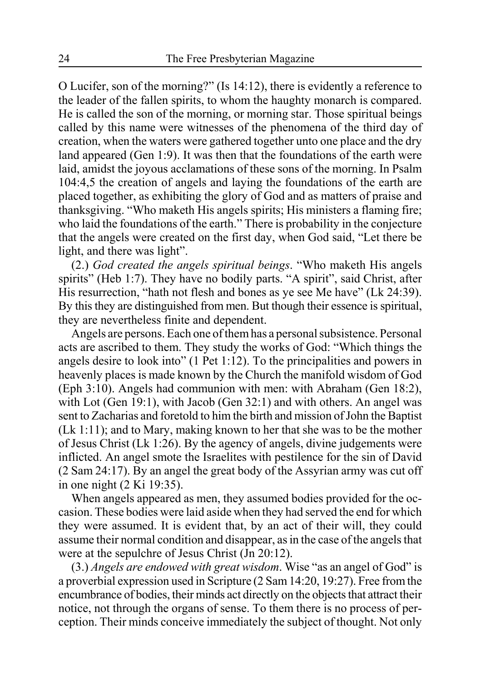O Lucifer, son of the morning?" (Is 14:12), there is evidently a reference to the leader of the fallen spirits, to whom the haughty monarch is compared. He is called the son of the morning, or morning star. Those spiritual beings called by this name were witnesses of the phenomena of the third day of creation, when the waters were gathered together unto one place and the dry land appeared (Gen 1:9). It was then that the foundations of the earth were laid, amidst the joyous acclamations of these sons of the morning. In Psalm 104:4,5 the creation of angels and laying the foundations of the earth are placed together, as exhibiting the glory of God and as matters of praise and thanksgiving. "Who maketh His angels spirits; His ministers a flaming fire; who laid the foundations of the earth." There is probability in the conjecture that the angels were created on the first day, when God said, "Let there be light, and there was light".

(2.) *God created the angels spiritual beings*. "Who maketh His angels spirits" (Heb 1:7). They have no bodily parts. "A spirit", said Christ, after His resurrection, "hath not flesh and bones as ye see Me have" (Lk 24:39). By this they are distinguished from men. But though their essence is spiritual, they are nevertheless finite and dependent.

Angels are persons. Each one of them has a personal subsistence. Personal acts are ascribed to them. They study the works of God: "Which things the angels desire to look into" (1 Pet 1:12). To the principalities and powers in heavenly places is made known by the Church the manifold wisdom of God (Eph 3:10). Angels had communion with men: with Abraham (Gen 18:2), with Lot (Gen 19:1), with Jacob (Gen 32:1) and with others. An angel was sent to Zacharias and foretold to him the birth and mission of John the Baptist (Lk 1:11); and to Mary, making known to her that she was to be the mother of Jesus Christ (Lk 1:26). By the agency of angels, divine judgements were inflicted. An angel smote the Israelites with pestilence for the sin of David (2 Sam 24:17). By an angel the great body of the Assyrian army was cut off in one night (2 Ki 19:35).

When angels appeared as men, they assumed bodies provided for the occasion. These bodies were laid aside when they had served the end for which they were assumed. It is evident that, by an act of their will, they could assume their normal condition and disappear, as in the case of the angels that were at the sepulchre of Jesus Christ (Jn 20:12).

(3.) *Angels are endowed with great wisdom*. Wise "as an angel of God" is a proverbial expression used in Scripture (2 Sam 14:20, 19:27). Free from the encumbrance of bodies, their minds act directly on the objects that attract their notice, not through the organs of sense. To them there is no process of perception. Their minds conceive immediately the subject of thought. Not only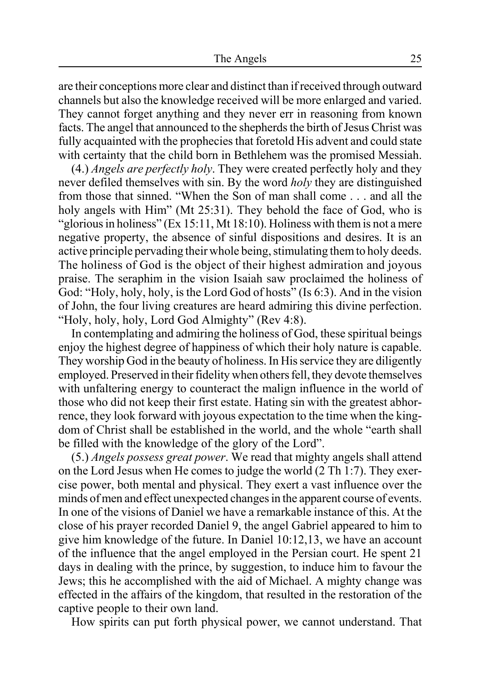are their conceptions more clear and distinct than if received through outward channels but also the knowledge received will be more enlarged and varied. They cannot forget anything and they never err in reasoning from known facts. The angel that announced to the shepherds the birth of Jesus Christ was fully acquainted with the prophecies that foretold His advent and could state with certainty that the child born in Bethlehem was the promised Messiah.

(4.) *Angels are perfectly holy*. They were created perfectly holy and they never defiled themselves with sin. By the word *holy* they are distinguished from those that sinned. "When the Son of man shall come . . . and all the holy angels with Him" (Mt 25:31). They behold the face of God, who is "glorious in holiness" (Ex 15:11, Mt 18:10). Holiness with them is not a mere negative property, the absence of sinful dispositions and desires. It is an active principle pervading their whole being, stimulating them to holy deeds. The holiness of God is the object of their highest admiration and joyous praise. The seraphim in the vision Isaiah saw proclaimed the holiness of God: "Holy, holy, holy, is the Lord God of hosts" (Is 6:3). And in the vision of John, the four living creatures are heard admiring this divine perfection. "Holy, holy, holy, Lord God Almighty" (Rev 4:8).

In contemplating and admiring the holiness of God, these spiritual beings enjoy the highest degree of happiness of which their holy nature is capable. They worship God in the beauty of holiness. In His service they are diligently employed. Preserved in their fidelity when others fell, they devote themselves with unfaltering energy to counteract the malign influence in the world of those who did not keep their first estate. Hating sin with the greatest abhorrence, they look forward with joyous expectation to the time when the kingdom of Christ shall be established in the world, and the whole "earth shall be filled with the knowledge of the glory of the Lord".

(5.) *Angels possess great power*. We read that mighty angels shall attend on the Lord Jesus when He comes to judge the world (2 Th 1:7). They exercise power, both mental and physical. They exert a vast influence over the minds of men and effect unexpected changes in the apparent course of events. In one of the visions of Daniel we have a remarkable instance of this. At the close of his prayer recorded Daniel 9, the angel Gabriel appeared to him to give him knowledge of the future. In Daniel 10:12,13, we have an account of the influence that the angel employed in the Persian court. He spent 21 days in dealing with the prince, by suggestion, to induce him to favour the Jews; this he accomplished with the aid of Michael. A mighty change was effected in the affairs of the kingdom, that resulted in the restoration of the captive people to their own land.

How spirits can put forth physical power, we cannot understand. That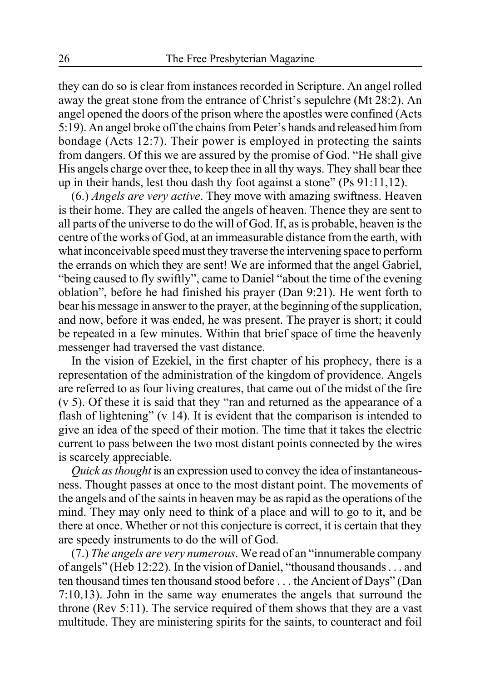they can do so is clear from instances recorded in Scripture. An angel rolled away the great stone from the entrance of Christ's sepulchre (Mt 28:2). An angel opened the doors of the prison where the apostles were confined (Acts 5:19). An angel broke off the chains from Peter's hands and released him from bondage (Acts 12:7). Their power is employed in protecting the saints from dangers. Of this we are assured by the promise of God. "He shall give His angels charge over thee, to keep thee in all thy ways. They shall bear thee up in their hands, lest thou dash thy foot against a stone" (Ps 91:11,12).

(6.) *Angels are very active*. They move with amazing swiftness. Heaven is their home. They are called the angels of heaven. Thence they are sent to all parts of the universe to do the will of God. If, as is probable, heaven is the centre of the works of God, at an immeasurable distance from the earth, with what inconceivable speed must they traverse the intervening space to perform the errands on which they are sent! We are informed that the angel Gabriel, "being caused to fly swiftly", came to Daniel "about the time of the evening oblation", before he had finished his prayer (Dan 9:21). He went forth to bear his message in answer to the prayer, at the beginning of the supplication, and now, before it was ended, he was present. The prayer is short; it could be repeated in a few minutes. Within that brief space of time the heavenly messenger had traversed the vast distance.

In the vision of Ezekiel, in the first chapter of his prophecy, there is a representation of the administration of the kingdom of providence. Angels are referred to as four living creatures, that came out of the midst of the fire (v 5). Of these it is said that they "ran and returned as the appearance of a flash of lightening" (v 14). It is evident that the comparison is intended to give an idea of the speed of their motion. The time that it takes the electric current to pass between the two most distant points connected by the wires is scarcely appreciable.

*Quick as thought* is an expression used to convey the idea of instantaneousness. Thought passes at once to the most distant point. The movements of the angels and of the saints in heaven may be as rapid as the operations of the mind. They may only need to think of a place and will to go to it, and be there at once. Whether or not this conjecture is correct, it is certain that they are speedy instruments to do the will of God.

(7.) *The angels are very numerous*. We read of an "innumerable company of angels" (Heb 12:22). In the vision of Daniel, "thousand thousands . . . and ten thousand times ten thousand stood before . . . the Ancient of Days" (Dan 7:10,13). John in the same way enumerates the angels that surround the throne (Rev 5:11). The service required of them shows that they are a vast multitude. They are ministering spirits for the saints, to counteract and foil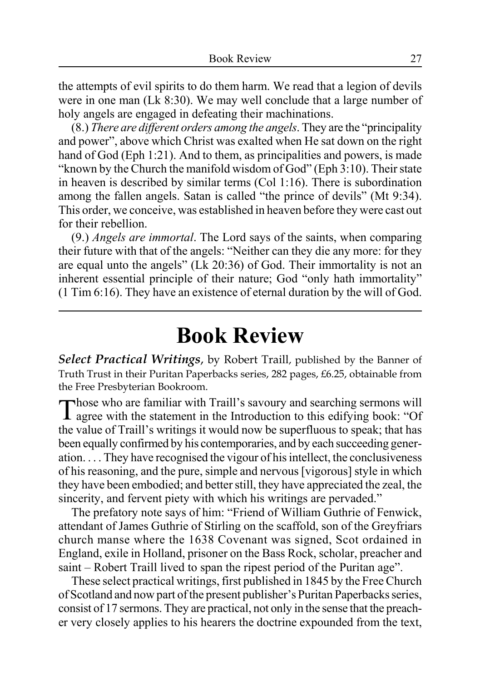the attempts of evil spirits to do them harm. We read that a legion of devils were in one man (Lk 8:30). We may well conclude that a large number of holy angels are engaged in defeating their machinations.

(8.) *There are different orders among the angels*. They are the "principality and power", above which Christ was exalted when He sat down on the right hand of God (Eph 1:21). And to them, as principalities and powers, is made "known by the Church the manifold wisdom of God" (Eph 3:10). Their state in heaven is described by similar terms (Col 1:16). There is subordination among the fallen angels. Satan is called "the prince of devils" (Mt 9:34). This order, we conceive, was established in heaven before they were cast out for their rebellion.

(9.) *Angels are immortal*. The Lord says of the saints, when comparing their future with that of the angels: "Neither can they die any more: for they are equal unto the angels" (Lk 20:36) of God. Their immortality is not an inherent essential principle of their nature; God "only hath immortality" (1 Tim 6:16). They have an existence of eternal duration by the will of God.

### **Book Review**

*Select Practical Writings*, by Robert Traill, published by the Banner of Truth Trust in their Puritan Paperbacks series, 282 pages, £6.25, obtainable from the Free Presbyterian Bookroom.

Those who are familiar with Traill's savoury and searching sermons will **1** agree with the statement in the Introduction to this edifying book: "Of the value of Traill's writings it would now be superfluous to speak; that has been equally confirmed by his contemporaries, and by each succeeding generation. . . . They have recognised the vigour of his intellect, the conclusiveness of his reasoning, and the pure, simple and nervous [vigorous] style in which they have been embodied; and better still, they have appreciated the zeal, the sincerity, and fervent piety with which his writings are pervaded."

The prefatory note says of him: "Friend of William Guthrie of Fenwick, attendant of James Guthrie of Stirling on the scaffold, son of the Greyfriars church manse where the 1638 Covenant was signed, Scot ordained in England, exile in Holland, prisoner on the Bass Rock, scholar, preacher and saint – Robert Traill lived to span the ripest period of the Puritan age".

These select practical writings, first published in 1845 by the Free Church of Scotland and now part of the present publisher's Puritan Paperbacks series, consist of 17 sermons. They are practical, not only in the sense that the preacher very closely applies to his hearers the doctrine expounded from the text,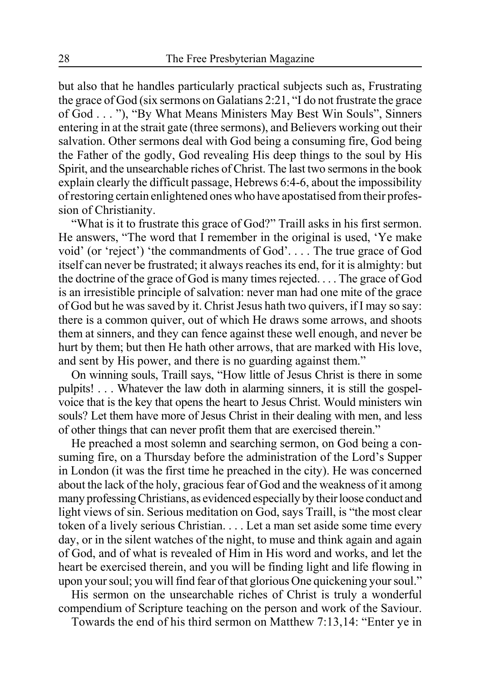but also that he handles particularly practical subjects such as, Frustrating the grace of God (six sermons on Galatians 2:21, "I do not frustrate the grace of God . . . "), "By What Means Ministers May Best Win Souls", Sinners entering in at the strait gate (three sermons), and Believers working out their salvation. Other sermons deal with God being a consuming fire, God being the Father of the godly, God revealing His deep things to the soul by His Spirit, and the unsearchable riches of Christ. The last two sermons in the book explain clearly the difficult passage, Hebrews 6:4-6, about the impossibility of restoring certain enlightened ones who have apostatised from their profession of Christianity.

"What is it to frustrate this grace of God?" Traill asks in his first sermon. He answers, "The word that I remember in the original is used, 'Ye make void' (or 'reject') 'the commandments of God'. . . . The true grace of God itself can never be frustrated; it always reaches its end, for it is almighty: but the doctrine of the grace of God is many times rejected. . . . The grace of God is an irresistible principle of salvation: never man had one mite of the grace of God but he was saved by it. Christ Jesus hath two quivers, if I may so say: there is a common quiver, out of which He draws some arrows, and shoots them at sinners, and they can fence against these well enough, and never be hurt by them; but then He hath other arrows, that are marked with His love, and sent by His power, and there is no guarding against them."

On winning souls, Traill says, "How little of Jesus Christ is there in some pulpits! . . . Whatever the law doth in alarming sinners, it is still the gospelvoice that is the key that opens the heart to Jesus Christ. Would ministers win souls? Let them have more of Jesus Christ in their dealing with men, and less of other things that can never profit them that are exercised therein."

He preached a most solemn and searching sermon, on God being a consuming fire, on a Thursday before the administration of the Lord's Supper in London (it was the first time he preached in the city). He was concerned about the lack of the holy, gracious fear of God and the weakness of it among many professing Christians, as evidenced especially by their loose conduct and light views of sin. Serious meditation on God, says Traill, is "the most clear token of a lively serious Christian. . . . Let a man set aside some time every day, or in the silent watches of the night, to muse and think again and again of God, and of what is revealed of Him in His word and works, and let the heart be exercised therein, and you will be finding light and life flowing in upon your soul; you will find fear of that glorious One quickening your soul."

His sermon on the unsearchable riches of Christ is truly a wonderful compendium of Scripture teaching on the person and work of the Saviour.

Towards the end of his third sermon on Matthew 7:13,14: "Enter ye in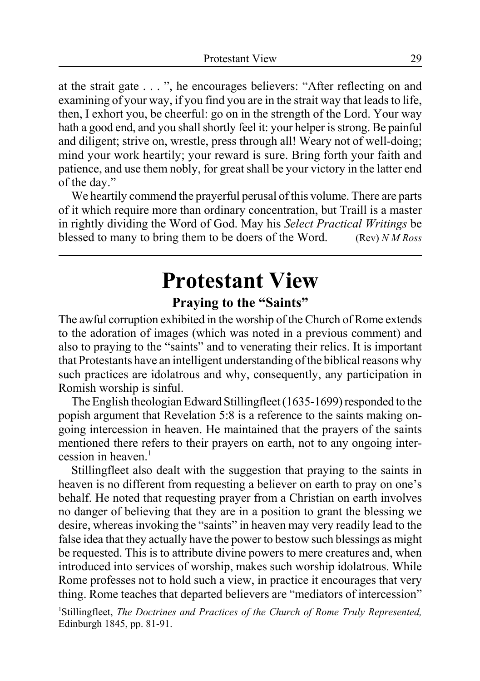at the strait gate . . . ", he encourages believers: "After reflecting on and examining of your way, if you find you are in the strait way that leads to life, then, I exhort you, be cheerful: go on in the strength of the Lord. Your way hath a good end, and you shall shortly feel it: your helper is strong. Be painful and diligent; strive on, wrestle, press through all! Weary not of well-doing; mind your work heartily; your reward is sure. Bring forth your faith and patience, and use them nobly, for great shall be your victory in the latter end of the day."

We heartily commend the prayerful perusal of this volume. There are parts of it which require more than ordinary concentration, but Traill is a master in rightly dividing the Word of God. May his *Select Practical Writings* be blessed to many to bring them to be doers of the Word. (Rev) *N M Ross*

### **Protestant View**

### **Praying to the "Saints"**

The awful corruption exhibited in the worship of the Church of Rome extends to the adoration of images (which was noted in a previous comment) and also to praying to the "saints" and to venerating their relics. It is important that Protestants have an intelligent understanding of the biblical reasons why such practices are idolatrous and why, consequently, any participation in Romish worship is sinful.

The English theologian Edward Stillingfleet (1635-1699) responded to the popish argument that Revelation 5:8 is a reference to the saints making ongoing intercession in heaven. He maintained that the prayers of the saints mentioned there refers to their prayers on earth, not to any ongoing intercession in heaven. $<sup>1</sup>$ </sup>

Stillingfleet also dealt with the suggestion that praying to the saints in heaven is no different from requesting a believer on earth to pray on one's behalf. He noted that requesting prayer from a Christian on earth involves no danger of believing that they are in a position to grant the blessing we desire, whereas invoking the "saints" in heaven may very readily lead to the false idea that they actually have the power to bestow such blessings as might be requested. This is to attribute divine powers to mere creatures and, when introduced into services of worship, makes such worship idolatrous. While Rome professes not to hold such a view, in practice it encourages that very thing. Rome teaches that departed believers are "mediators of intercession"

1 Stillingfleet, *The Doctrines and Practices of the Church of Rome Truly Represented,* Edinburgh 1845, pp. 81-91.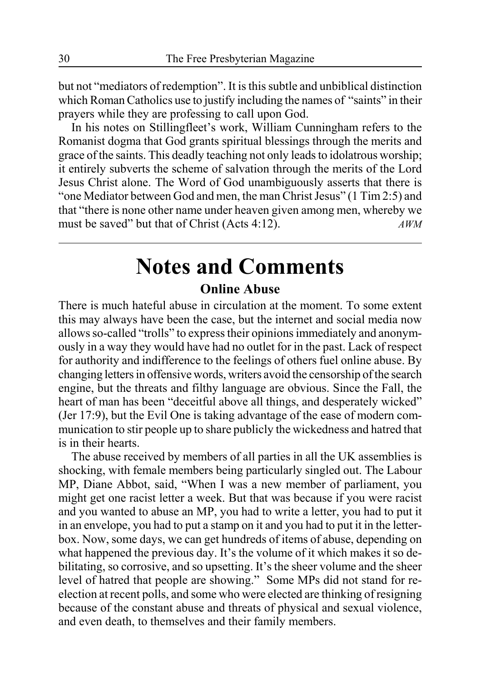but not "mediators of redemption". It is this subtle and unbiblical distinction which Roman Catholics use to justify including the names of "saints" in their prayers while they are professing to call upon God.

In his notes on Stillingfleet's work, William Cunningham refers to the Romanist dogma that God grants spiritual blessings through the merits and grace of the saints. This deadly teaching not only leads to idolatrous worship; it entirely subverts the scheme of salvation through the merits of the Lord Jesus Christ alone. The Word of God unambiguously asserts that there is "one Mediator between God and men, the man Christ Jesus" (1 Tim 2:5) and that "there is none other name under heaven given among men, whereby we must be saved" but that of Christ (Acts 4:12). *AWM*

### **Notes and Comments Online Abuse**

There is much hateful abuse in circulation at the moment. To some extent this may always have been the case, but the internet and social media now allows so-called "trolls" to express their opinions immediately and anonymously in a way they would have had no outlet for in the past. Lack of respect for authority and indifference to the feelings of others fuel online abuse. By changing letters in offensive words, writers avoid the censorship of the search engine, but the threats and filthy language are obvious. Since the Fall, the heart of man has been "deceitful above all things, and desperately wicked" (Jer 17:9), but the Evil One is taking advantage of the ease of modern communication to stir people up to share publicly the wickedness and hatred that is in their hearts.

The abuse received by members of all parties in all the UK assemblies is shocking, with female members being particularly singled out. The Labour MP, Diane Abbot, said, "When I was a new member of parliament, you might get one racist letter a week. But that was because if you were racist and you wanted to abuse an MP, you had to write a letter, you had to put it in an envelope, you had to put a stamp on it and you had to put it in the letterbox. Now, some days, we can get hundreds of items of abuse, depending on what happened the previous day. It's the volume of it which makes it so debilitating, so corrosive, and so upsetting. It's the sheer volume and the sheer level of hatred that people are showing." Some MPs did not stand for reelection at recent polls, and some who were elected are thinking of resigning because of the constant abuse and threats of physical and sexual violence, and even death, to themselves and their family members.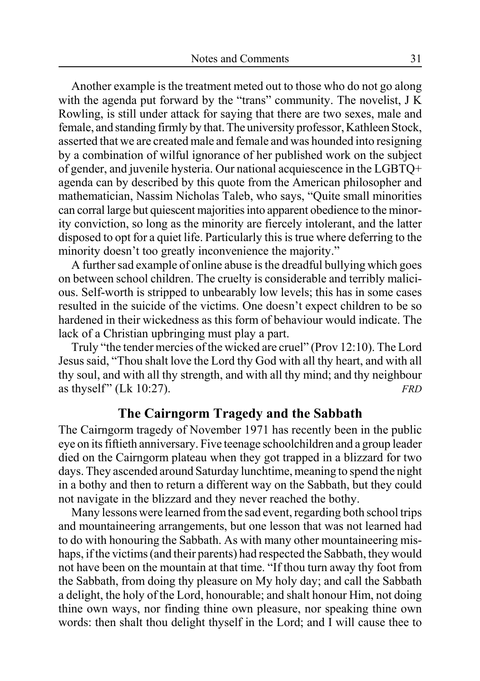Another example is the treatment meted out to those who do not go along with the agenda put forward by the "trans" community. The novelist, J K Rowling, is still under attack for saying that there are two sexes, male and female, and standing firmly by that. The university professor, Kathleen Stock, asserted that we are created male and female and was hounded into resigning by a combination of wilful ignorance of her published work on the subject of gender, and juvenile hysteria. Our national acquiescence in the LGBTQ+ agenda can by described by this quote from the American philosopher and mathematician, Nassim Nicholas Taleb, who says, "Quite small minorities can corral large but quiescent majorities into apparent obedience to the minority conviction, so long as the minority are fiercely intolerant, and the latter disposed to opt for a quiet life. Particularly this is true where deferring to the minority doesn't too greatly inconvenience the majority."

A further sad example of online abuse is the dreadful bullying which goes on between school children. The cruelty is considerable and terribly malicious. Self-worth is stripped to unbearably low levels; this has in some cases resulted in the suicide of the victims. One doesn't expect children to be so hardened in their wickedness as this form of behaviour would indicate. The lack of a Christian upbringing must play a part.

Truly "the tender mercies of the wicked are cruel" (Prov 12:10). The Lord Jesus said, "Thou shalt love the Lord thy God with all thy heart, and with all thy soul, and with all thy strength, and with all thy mind; and thy neighbour as thyself " (Lk 10:27). *FRD*

### **The Cairngorm Tragedy and the Sabbath**

The Cairngorm tragedy of November 1971 has recently been in the public eye on its fiftieth anniversary. Five teenage schoolchildren and a group leader died on the Cairngorm plateau when they got trapped in a blizzard for two days. They ascended around Saturday lunchtime, meaning to spend the night in a bothy and then to return a different way on the Sabbath, but they could not navigate in the blizzard and they never reached the bothy.

Many lessons were learned from the sad event, regarding both school trips and mountaineering arrangements, but one lesson that was not learned had to do with honouring the Sabbath. As with many other mountaineering mishaps, if the victims (and their parents) had respected the Sabbath, they would not have been on the mountain at that time. "If thou turn away thy foot from the Sabbath, from doing thy pleasure on My holy day; and call the Sabbath a delight, the holy of the Lord, honourable; and shalt honour Him, not doing thine own ways, nor finding thine own pleasure, nor speaking thine own words: then shalt thou delight thyself in the Lord; and I will cause thee to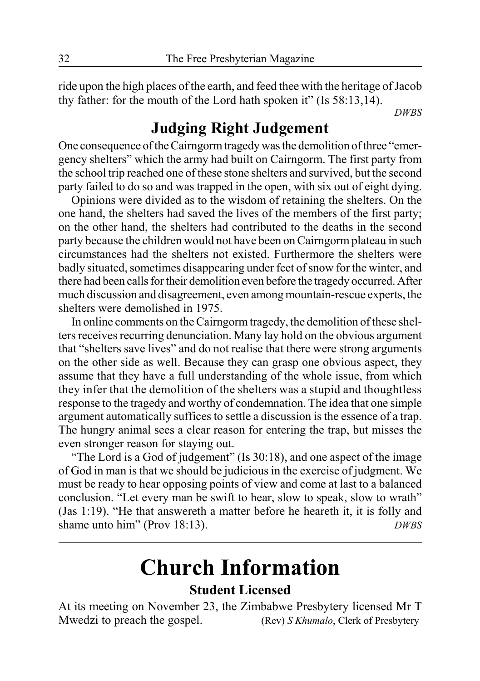ride upon the high places of the earth, and feed thee with the heritage of Jacob thy father: for the mouth of the Lord hath spoken it" (Is 58:13,14).

*DWBS*

### **Judging Right Judgement**

One consequence of the Cairngorm tragedy was the demolition of three "emergency shelters" which the army had built on Cairngorm. The first party from the school trip reached one of these stone shelters and survived, but the second party failed to do so and was trapped in the open, with six out of eight dying.

Opinions were divided as to the wisdom of retaining the shelters. On the one hand, the shelters had saved the lives of the members of the first party; on the other hand, the shelters had contributed to the deaths in the second party because the children would not have been on Cairngorm plateau in such circumstances had the shelters not existed. Furthermore the shelters were badly situated, sometimes disappearing under feet of snow for the winter, and there had been calls for their demolition even before the tragedy occurred. After much discussion and disagreement, even among mountain-rescue experts, the shelters were demolished in 1975.

In online comments on the Cairngorm tragedy, the demolition of these shelters receives recurring denunciation. Many lay hold on the obvious argument that "shelters save lives" and do not realise that there were strong arguments on the other side as well. Because they can grasp one obvious aspect, they assume that they have a full understanding of the whole issue, from which they infer that the demolition of the shelters was a stupid and thoughtless response to the tragedy and worthy of condemnation. The idea that one simple argument automatically suffices to settle a discussion is the essence of a trap. The hungry animal sees a clear reason for entering the trap, but misses the even stronger reason for staying out.

"The Lord is a God of judgement" (Is 30:18), and one aspect of the image of God in man is that we should be judicious in the exercise of judgment. We must be ready to hear opposing points of view and come at last to a balanced conclusion. "Let every man be swift to hear, slow to speak, slow to wrath" (Jas 1:19). "He that answereth a matter before he heareth it, it is folly and shame unto him" (Prov 18:13). *DWBS*

# **Church Information**

### **Student Licensed**

At its meeting on November 23, the Zimbabwe Presbytery licensed Mr T Mwedzi to preach the gospel. (Rev) *S Khumalo*, Clerk of Presbytery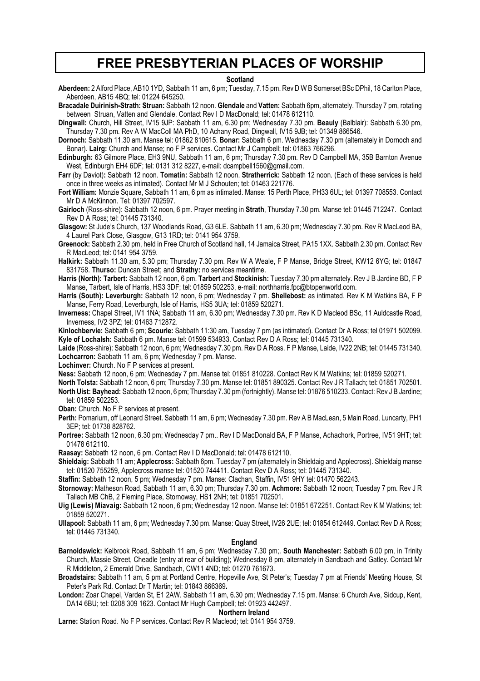### **FREE PRESBYTERIAN PLACES OF WORSHIP**

### **Scotland**

**Aberdeen:** 2 Alford Place, AB10 1YD, Sabbath 11 am, 6 pm; Tuesday, 7.15 pm. Rev D W B Somerset BSc DPhil, 18 Carlton Place, Aberdeen, AB15 4BQ; tel: 01224 645250.

**Bracadale Duirinish-Strath: Struan:** Sabbath 12 noon. **Glendale** and **Vatten:** Sabbath 6pm, alternately. Thursday 7 pm, rotating between, Struan, Vatten and Glendale. Contact Rev I D MacDonald; tel: 01478 612110.

**Dingwall:** Church, Hill Street, IV15 9JP: Sabbath 11 am, 6.30 pm; Wednesday 7.30 pm. **Beauly** (Balblair): Sabbath 6.30 pm Thursday 7.30 pm. Rev A W MacColl MA PhD, 10 Achany Road, Dingwall, IV15 9JB; tel: 01349 866546.

**Dornoch:** Sabbath 11.30 am. Manse tel: 01862 810615. **Bonar:** Sabbath 6 pm. Wednesday 7.30 pm (alternately in Dornoch and Bonar). **Lairg:** Church and Manse; no F P services. Contact Mr J Campbell; tel: 01863 766296.

**Edinburgh:** 63 Gilmore Place, EH3 9NU, Sabbath 11 am, 6 pm; Thursday 7.30 pm. Rev D Campbell MA, 35B Barnton Avenue West, Edinburgh EH4 6DF; tel: 0131 312 8227, e-mail: dcampbell1560@gmail.com.

**Farr** (by Daviot)**:** Sabbath 12 noon. **Tomatin:** Sabbath 12 noon. **Stratherrick:** Sabbath 12 noon. (Each of these services is held once in three weeks as intimated). Contact Mr M J Schouten; tel: 01463 221776.

**Fort William:** Monzie Square, Sabbath 11 am, 6 pm as intimated. Manse: 15 Perth Place, PH33 6UL; tel: 01397 708553. Contact Mr D A McKinnon. Tel: 01397 702597.

**Gairloch** (Ross-shire): Sabbath 12 noon, 6 pm. Prayer meeting in **Strath**, Thursday 7.30 pm. Manse tel: 01445 712247. Contact Rev D A Ross; tel: 01445 731340.

**Glasgow:** St Jude's Church, 137 Woodlands Road, G3 6LE. Sabbath 11 am, 6.30 pm; Wednesday 7.30 pm. Rev R MacLeod BA, 4 Laurel Park Close, Glasgow, G13 1RD; tel: 0141 954 3759.

**Greenock:** Sabbath 2.30 pm, held in Free Church of Scotland hall, 14 Jamaica Street, PA15 1XX. Sabbath 2.30 pm. Contact Rev R MacLeod; tel: 0141 954 3759.

**Halkirk:** Sabbath 11.30 am, 5.30 pm; Thursday 7.30 pm. Rev W A Weale, F P Manse, Bridge Street, KW12 6YG; tel: 01847 831758. **Thurso:** Duncan Street; and **Strathy:** no services meantime.

**Harris (North): Tarbert:** Sabbath 12 noon, 6 pm. **Tarbert** and **Stockinish:** Tuesday 7.30 pm alternately. Rev J B Jardine BD, F P Manse, Tarbert, Isle of Harris, HS3 3DF; tel: 01859 502253, e-mail: northharris.fpc@btopenworld.com.

**Harris (South): Leverburgh:** Sabbath 12 noon, 6 pm; Wednesday 7 pm. **Sheilebost:** as intimated. Rev K M Watkins BA, F P Manse, Ferry Road, Leverburgh, Isle of Harris, HS5 3UA; tel: 01859 520271.

**Inverness:** Chapel Street, IV1 1NA; Sabbath 11 am, 6.30 pm; Wednesday 7.30 pm. Rev K D Macleod BSc, 11 Auldcastle Road, Inverness, IV2 3PZ; tel: 01463 712872.

**Kinlochbervie:** Sabbath 6 pm; **Scourie:** Sabbath 11:30 am, Tuesday 7 pm (as intimated). Contact Dr A Ross; tel 01971 502099. **Kyle of Lochalsh:** Sabbath 6 pm. Manse tel: 01599 534933. Contact Rev D A Ross; tel: 01445 731340.

**Laide** (Ross-shire): Sabbath 12 noon, 6 pm; Wednesday 7.30 pm. Rev D A Ross. F P Manse, Laide, IV22 2NB; tel: 01445 731340. **Lochcarron:** Sabbath 11 am, 6 pm; Wednesday 7 pm. Manse.

**Lochinver:** Church. No F P services at present.

**Ness:** Sabbath 12 noon, 6 pm; Wednesday 7 pm. Manse tel: 01851 810228. Contact Rev K M Watkins; tel: 01859 520271.

**North Tolsta:** Sabbath 12 noon, 6 pm; Thursday 7.30 pm. Manse tel: 01851 890325. Contact Rev J R Tallach; tel: 01851 702501. **North Uist: Bayhead:** Sabbath 12 noon, 6 pm; Thursday 7.30 pm (fortnightly). Manse tel: 01876 510233. Contact: Rev J B Jardine; tel: 01859 502253.

**Oban:** Church. No F P services at present.

**Perth:** Pomarium, off Leonard Street. Sabbath 11 am, 6 pm; Wednesday 7.30 pm. Rev A B MacLean, 5 Main Road, Luncarty, PH1 3EP; tel: 01738 828762.

**Portree:** Sabbath 12 noon, 6.30 pm; Wednesday 7 pm.. Rev I D MacDonald BA, F P Manse, Achachork, Portree, IV51 9HT; tel: 01478 612110.

**Raasay:** Sabbath 12 noon, 6 pm. Contact Rev I D MacDonald; tel: 01478 612110.

**Shieldaig:** Sabbath 11 am; **Applecross:** Sabbath 6pm. Tuesday 7 pm (alternately in Shieldaig and Applecross). Shieldaig manse tel: 01520 755259, Applecross manse tel: 01520 744411. Contact Rev D A Ross; tel: 01445 731340.

**Staffin:** Sabbath 12 noon, 5 pm; Wednesday 7 pm. Manse: Clachan, Staffin, IV51 9HY tel: 01470 562243.

**Stornoway:** Matheson Road, Sabbath 11 am, 6.30 pm; Thursday 7.30 pm. **Achmore:** Sabbath 12 noon; Tuesday 7 pm. Rev J R Tallach MB ChB, 2 Fleming Place, Stornoway, HS1 2NH; tel: 01851 702501.

**Uig (Lewis) Miavaig:** Sabbath 12 noon, 6 pm; Wednesday 12 noon. Manse tel: 01851 672251. Contact Rev K M Watkins; tel: 01859 520271.

**Ullapool:** Sabbath 11 am, 6 pm; Wednesday 7.30 pm. Manse: Quay Street, IV26 2UE; tel: 01854 612449. Contact Rev D A Ross; tel: 01445 731340.

#### **England**

**Barnoldswick:** Kelbrook Road, Sabbath 11 am, 6 pm; Wednesday 7.30 pm;. **South Manchester:** Sabbath 6.00 pm, in Trinity Church, Massie Street, Cheadle (entry at rear of building); Wednesday 8 pm, alternately in Sandbach and Gatley. Contact Mr R Middleton, 2 Emerald Drive, Sandbach, CW11 4ND; tel: 01270 761673.

**Broadstairs:** Sabbath 11 am, 5 pm at Portland Centre, Hopeville Ave, St Peter's; Tuesday 7 pm at Friends' Meeting House, St Peter's Park Rd. Contact Dr T Martin; tel: 01843 866369**.**

**London:** Zoar Chapel, Varden St, E1 2AW. Sabbath 11 am, 6.30 pm; Wednesday 7.15 pm. Manse: 6 Church Ave, Sidcup, Kent, DA14 6BU; tel: 0208 309 1623. Contact Mr Hugh Campbell; tel: 01923 442497.

#### **Northern Ireland**

**Larne:** Station Road. No F P services. Contact Rev R Macleod; tel: 0141 954 3759.